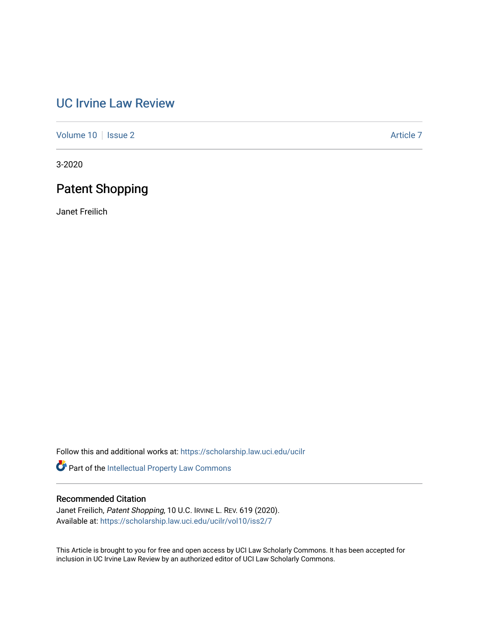# [UC Irvine Law Review](https://scholarship.law.uci.edu/ucilr)

[Volume 10](https://scholarship.law.uci.edu/ucilr/vol10) | [Issue 2](https://scholarship.law.uci.edu/ucilr/vol10/iss2) Article 7

3-2020

# Patent Shopping

Janet Freilich

Follow this and additional works at: [https://scholarship.law.uci.edu/ucilr](https://scholarship.law.uci.edu/ucilr?utm_source=scholarship.law.uci.edu%2Fucilr%2Fvol10%2Fiss2%2F7&utm_medium=PDF&utm_campaign=PDFCoverPages)

Part of the [Intellectual Property Law Commons](http://network.bepress.com/hgg/discipline/896?utm_source=scholarship.law.uci.edu%2Fucilr%2Fvol10%2Fiss2%2F7&utm_medium=PDF&utm_campaign=PDFCoverPages) 

# Recommended Citation

Janet Freilich, Patent Shopping, 10 U.C. IRVINE L. REV. 619 (2020). Available at: [https://scholarship.law.uci.edu/ucilr/vol10/iss2/7](https://scholarship.law.uci.edu/ucilr/vol10/iss2/7?utm_source=scholarship.law.uci.edu%2Fucilr%2Fvol10%2Fiss2%2F7&utm_medium=PDF&utm_campaign=PDFCoverPages) 

This Article is brought to you for free and open access by UCI Law Scholarly Commons. It has been accepted for inclusion in UC Irvine Law Review by an authorized editor of UCI Law Scholarly Commons.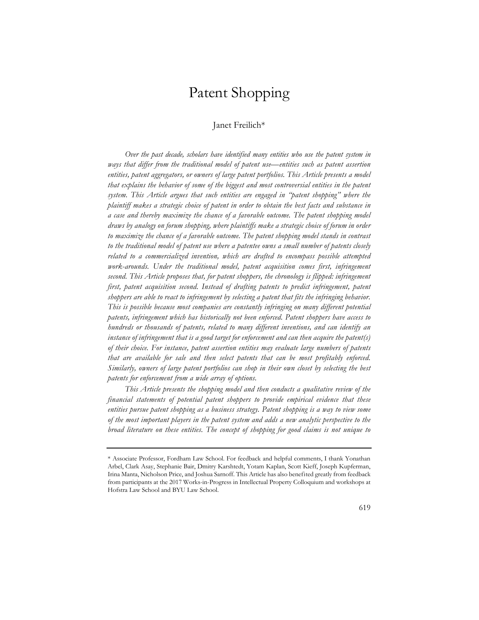# Patent Shopping

# Janet Freilich\*

*Over the past decade, scholars have identified many entities who use the patent system in ways that differ from the traditional model of patent use—entities such as patent assertion entities, patent aggregators, or owners of large patent portfolios. This Article presents a model that explains the behavior of some of the biggest and most controversial entities in the patent system. This Article argues that such entities are engaged in "patent shopping" where the plaintiff makes a strategic choice of patent in order to obtain the best facts and substance in a case and thereby maximize the chance of a favorable outcome. The patent shopping model draws by analogy on forum shopping, where plaintiffs make a strategic choice of forum in order to maximize the chance of a favorable outcome. The patent shopping model stands in contrast to the traditional model of patent use where a patentee owns a small number of patents closely related to a commercialized invention, which are drafted to encompass possible attempted work-arounds. Under the traditional model, patent acquisition comes first, infringement second. This Article proposes that, for patent shoppers, the chronology is flipped: infringement first, patent acquisition second. Instead of drafting patents to predict infringement, patent shoppers are able to react to infringement by selecting a patent that fits the infringing behavior. This is possible because most companies are constantly infringing on many different potential patents, infringement which has historically not been enforced. Patent shoppers have access to hundreds or thousands of patents, related to many different inventions, and can identify an instance of infringement that is a good target for enforcement and can then acquire the patent(s) of their choice. For instance, patent assertion entities may evaluate large numbers of patents that are available for sale and then select patents that can be most profitably enforced. Similarly, owners of large patent portfolios can shop in their own closet by selecting the best patents for enforcement from a wide array of options.*

*This Article presents the shopping model and then conducts a qualitative review of the financial statements of potential patent shoppers to provide empirical evidence that these entities pursue patent shopping as a business strategy. Patent shopping is a way to view some of the most important players in the patent system and adds a new analytic perspective to the broad literature on these entities. The concept of shopping for good claims is not unique to* 

<sup>\*</sup> Associate Professor, Fordham Law School. For feedback and helpful comments, I thank Yonathan Arbel, Clark Asay, Stephanie Bair, Dmitry Karshtedt, Yotam Kaplan, Scott Kieff, Joseph Kupferman, Irina Manta, Nicholson Price, and Joshua Sarnoff. This Article has also benefited greatly from feedback from participants at the 2017 Works-in-Progress in Intellectual Property Colloquium and workshops at Hofstra Law School and BYU Law School.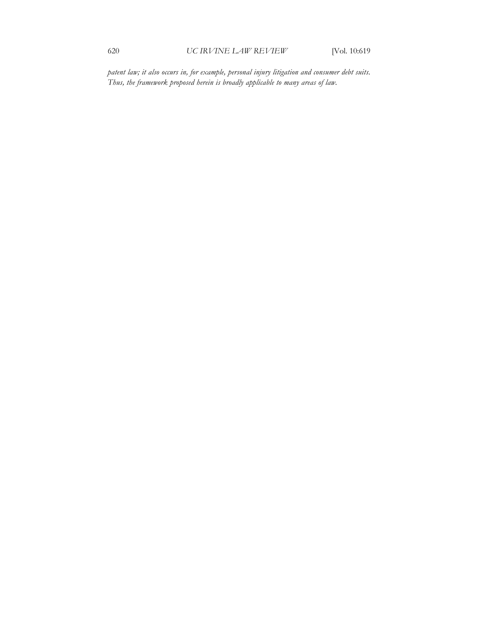*patent law; it also occurs in, for example, personal injury litigation and consumer debt suits. Thus, the framework proposed herein is broadly applicable to many areas of law.*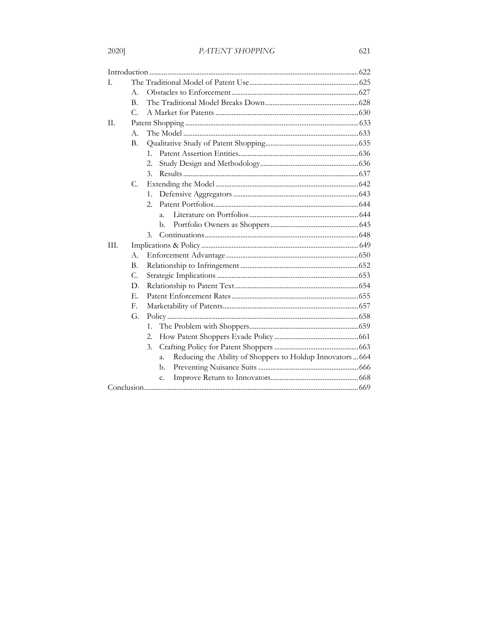# PATENT SHOPPING

| L.   |                |                                                                 |  |  |
|------|----------------|-----------------------------------------------------------------|--|--|
|      | А.             |                                                                 |  |  |
|      | $\mathbf{B}$ . |                                                                 |  |  |
|      | $\mathcal{C}$  |                                                                 |  |  |
| П.   |                |                                                                 |  |  |
|      | А.             |                                                                 |  |  |
|      | B.             |                                                                 |  |  |
|      |                | $1_{-}$                                                         |  |  |
|      |                | 2.                                                              |  |  |
|      |                | 3.                                                              |  |  |
|      | C.             |                                                                 |  |  |
|      |                | 1.                                                              |  |  |
|      |                | 2.                                                              |  |  |
|      |                | $\mathbf{a}$ .                                                  |  |  |
|      |                | b.                                                              |  |  |
|      |                | 3.                                                              |  |  |
| III. |                |                                                                 |  |  |
|      | A.             |                                                                 |  |  |
|      | B.             |                                                                 |  |  |
|      | C.             |                                                                 |  |  |
|      | D.             |                                                                 |  |  |
|      | Ε.             |                                                                 |  |  |
|      | $\mathbf{E}$   |                                                                 |  |  |
|      | G.             |                                                                 |  |  |
|      |                | 1.                                                              |  |  |
|      |                | 2.                                                              |  |  |
|      |                | 3.                                                              |  |  |
|      |                | Reducing the Ability of Shoppers to Holdup Innovators 664<br>a. |  |  |
|      |                | b.                                                              |  |  |
|      |                | c.                                                              |  |  |
|      |                |                                                                 |  |  |
|      |                |                                                                 |  |  |

# 2020]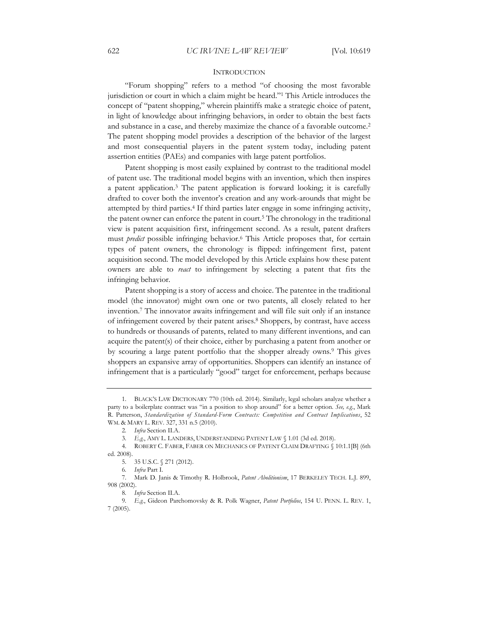## **INTRODUCTION**

"Forum shopping" refers to a method "of choosing the most favorable jurisdiction or court in which a claim might be heard."1 This Article introduces the concept of "patent shopping," wherein plaintiffs make a strategic choice of patent, in light of knowledge about infringing behaviors, in order to obtain the best facts and substance in a case, and thereby maximize the chance of a favorable outcome.2 The patent shopping model provides a description of the behavior of the largest and most consequential players in the patent system today, including patent assertion entities (PAEs) and companies with large patent portfolios.

Patent shopping is most easily explained by contrast to the traditional model of patent use. The traditional model begins with an invention, which then inspires a patent application.3 The patent application is forward looking; it is carefully drafted to cover both the inventor's creation and any work-arounds that might be attempted by third parties.4 If third parties later engage in some infringing activity, the patent owner can enforce the patent in court.<sup>5</sup> The chronology in the traditional view is patent acquisition first, infringement second. As a result, patent drafters must *predict* possible infringing behavior.6 This Article proposes that, for certain types of patent owners, the chronology is flipped: infringement first, patent acquisition second. The model developed by this Article explains how these patent owners are able to *react* to infringement by selecting a patent that fits the infringing behavior.

Patent shopping is a story of access and choice. The patentee in the traditional model (the innovator) might own one or two patents, all closely related to her invention.7 The innovator awaits infringement and will file suit only if an instance of infringement covered by their patent arises.<sup>8</sup> Shoppers, by contrast, have access to hundreds or thousands of patents, related to many different inventions, and can acquire the patent(s) of their choice, either by purchasing a patent from another or by scouring a large patent portfolio that the shopper already owns.9 This gives shoppers an expansive array of opportunities. Shoppers can identify an instance of infringement that is a particularly "good" target for enforcement, perhaps because

<sup>1.</sup> BLACK'S LAW DICTIONARY 770 (10th ed. 2014). Similarly, legal scholars analyze whether a party to a boilerplate contract was "in a position to shop around" for a better option. *See, e.g.*, Mark R. Patterson, *Standardization of Standard-Form Contracts: Competition and Contract Implications*, 52 WM. & MARY L. REV. 327, 331 n.5 (2010).

<sup>2</sup>*. Infra* Section II.A.

<sup>3</sup>*. E.g.*, AMY L. LANDERS, UNDERSTANDING PATENT LAW § 1.01 (3d ed. 2018).

<sup>4.</sup> ROBERT C. FABER, FABER ON MECHANICS OF PATENT CLAIM DRAFTING § 10:1.1[B] (6th ed. 2008).

<sup>5. 35</sup> U.S.C. § 271 (2012).

<sup>6</sup>*. Infra* Part I.

<sup>7.</sup> Mark D. Janis & Timothy R. Holbrook, *Patent Abolitionism*, 17 BERKELEY TECH. L.J. 899, 908 (2002).

<sup>8</sup>*. Infra* Section II.A.

<sup>9</sup>*. E.g.*, Gideon Parchomovsky & R. Polk Wagner, *Patent Portfolios*, 154 U. PENN. L. REV. 1, 7 (2005).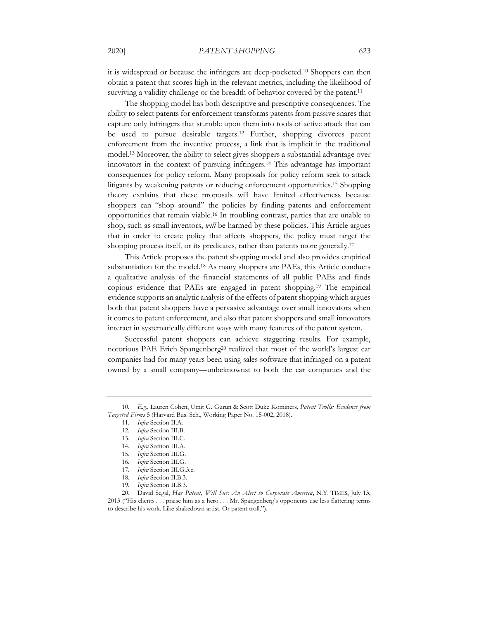it is widespread or because the infringers are deep-pocketed.10 Shoppers can then obtain a patent that scores high in the relevant metrics, including the likelihood of surviving a validity challenge or the breadth of behavior covered by the patent.<sup>11</sup>

The shopping model has both descriptive and prescriptive consequences. The ability to select patents for enforcement transforms patents from passive snares that capture only infringers that stumble upon them into tools of active attack that can be used to pursue desirable targets.12 Further, shopping divorces patent enforcement from the inventive process, a link that is implicit in the traditional model.13 Moreover, the ability to select gives shoppers a substantial advantage over innovators in the context of pursuing infringers.14 This advantage has important consequences for policy reform. Many proposals for policy reform seek to attack litigants by weakening patents or reducing enforcement opportunities.15 Shopping theory explains that these proposals will have limited effectiveness because shoppers can "shop around" the policies by finding patents and enforcement opportunities that remain viable.16 In troubling contrast, parties that are unable to shop, such as small inventors, *will* be harmed by these policies. This Article argues that in order to create policy that affects shoppers, the policy must target the shopping process itself, or its predicates, rather than patents more generally.17

This Article proposes the patent shopping model and also provides empirical substantiation for the model.<sup>18</sup> As many shoppers are PAEs, this Article conducts a qualitative analysis of the financial statements of all public PAEs and finds copious evidence that PAEs are engaged in patent shopping.19 The empirical evidence supports an analytic analysis of the effects of patent shopping which argues both that patent shoppers have a pervasive advantage over small innovators when it comes to patent enforcement, and also that patent shoppers and small innovators interact in systematically different ways with many features of the patent system.

Successful patent shoppers can achieve staggering results. For example, notorious PAE Erich Spangenberg<sup>20</sup> realized that most of the world's largest car companies had for many years been using sales software that infringed on a patent owned by a small company—unbeknownst to both the car companies and the

<sup>10</sup>*. E.g.*, Lauren Cohen, Umit G. Gurun & Scott Duke Kominers, *Patent Trolls: Evidence from Targeted Firms* 5 (Harvard Bus. Sch., Working Paper No. 15-002, 2018).

<sup>11</sup>*. Infra* Section II.A.

<sup>12</sup>*. Infra* Section III.B.

<sup>13</sup>*. Infra* Section III.C.

<sup>14</sup>*. Infra* Section III.A.

<sup>15</sup>*. Infra* Section III.G.

<sup>16</sup>*. Infra* Section III.G.

<sup>17</sup>*. Infra* Section III.G.3.c.

<sup>18</sup>*. Infra* Section II.B.3.

<sup>19</sup>*. Infra* Section II.B.3.

<sup>20.</sup> David Segal, *Has Patent, Will Sue: An Alert to Corporate America*, N.Y. TIMES, July 13, 2013 ("His clients . . . praise him as a hero . . . Mr. Spangenberg's opponents use less flattering terms to describe his work. Like shakedown artist. Or patent troll.").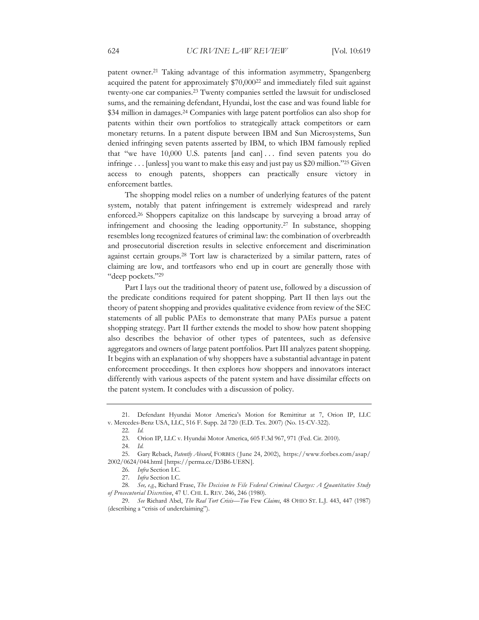patent owner.<sup>21</sup> Taking advantage of this information asymmetry, Spangenberg acquired the patent for approximately \$70,00022 and immediately filed suit against twenty-one car companies.23 Twenty companies settled the lawsuit for undisclosed sums, and the remaining defendant, Hyundai, lost the case and was found liable for \$34 million in damages.24 Companies with large patent portfolios can also shop for patents within their own portfolios to strategically attack competitors or earn monetary returns. In a patent dispute between IBM and Sun Microsystems, Sun denied infringing seven patents asserted by IBM, to which IBM famously replied that "we have 10,000 U.S. patents [and can] . . . find seven patents you do infringe . . . [unless] you want to make this easy and just pay us \$20 million."25 Given access to enough patents, shoppers can practically ensure victory in enforcement battles.

The shopping model relies on a number of underlying features of the patent system, notably that patent infringement is extremely widespread and rarely enforced.26 Shoppers capitalize on this landscape by surveying a broad array of infringement and choosing the leading opportunity.27 In substance, shopping resembles long recognized features of criminal law: the combination of overbreadth and prosecutorial discretion results in selective enforcement and discrimination against certain groups.28 Tort law is characterized by a similar pattern, rates of claiming are low, and tortfeasors who end up in court are generally those with "deep pockets."29

Part I lays out the traditional theory of patent use, followed by a discussion of the predicate conditions required for patent shopping. Part II then lays out the theory of patent shopping and provides qualitative evidence from review of the SEC statements of all public PAEs to demonstrate that many PAEs pursue a patent shopping strategy. Part II further extends the model to show how patent shopping also describes the behavior of other types of patentees, such as defensive aggregators and owners of large patent portfolios. Part III analyzes patent shopping. It begins with an explanation of why shoppers have a substantial advantage in patent enforcement proceedings. It then explores how shoppers and innovators interact differently with various aspects of the patent system and have dissimilar effects on the patent system. It concludes with a discussion of policy.

<sup>21.</sup> Defendant Hyundai Motor America's Motion for Remittitur at 7, Orion IP, LLC v. Mercedes-Benz USA, LLC, 516 F. Supp. 2d 720 (E.D. Tex. 2007) (No. 15-CV-322).

<sup>22</sup>*. Id.*

<sup>23.</sup> Orion IP, LLC v. Hyundai Motor America, 605 F.3d 967, 971 (Fed. Cir. 2010).

<sup>24.</sup> *Id.*

<sup>25.</sup> Gary Reback, *Patently Absurd*, FORBES ( June 24, 2002), https://www.forbes.com/asap/ 2002/0624/044.html [https://perma.cc/D3B6-UE8N].

<sup>26</sup>*. Infra* Section I.C.

<sup>27</sup>*. Infra* Section I.C.

<sup>28</sup>*. See, e.g.*, Richard Frase, *The Decision to File Federal Criminal Charges: A Quantitative Study of Prosecutorial Discretion*, 47 U. CHI. L. REV. 246, 246 (1980).

<sup>29</sup>*. See* Richard Abel, *The Real Tort Crisis—Too* Few *Claims*, 48 OHIO ST. L.J. 443, 447 (1987) (describing a "crisis of underclaiming").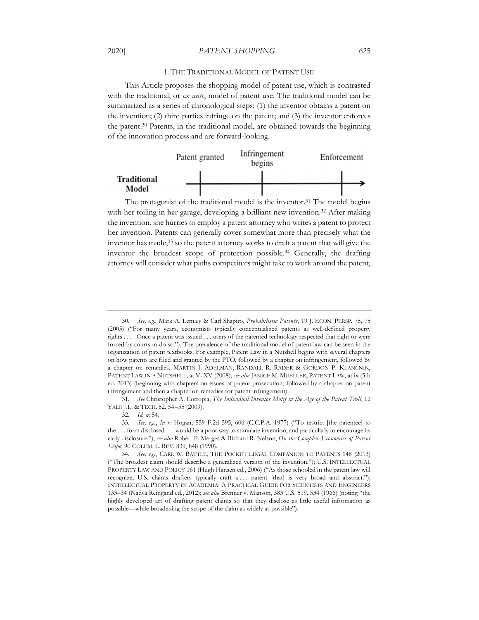#### I. THE TRADITIONAL MODEL OF PATENT USE

This Article proposes the shopping model of patent use, which is contrasted with the traditional, or *ex ante*, model of patent use. The traditional model can be summarized as a series of chronological steps: (1) the inventor obtains a patent on the invention; (2) third parties infringe on the patent; and (3) the inventor enforces the patent.30 Patents, in the traditional model, are obtained towards the beginning of the innovation process and are forward-looking.



The protagonist of the traditional model is the inventor.<sup>31</sup> The model begins with her toiling in her garage, developing a brilliant new invention.32 After making the invention, she hurries to employ a patent attorney who writes a patent to protect her invention. Patents can generally cover somewhat more than precisely what the inventor has made,<sup>33</sup> so the patent attorney works to draft a patent that will give the inventor the broadest scope of protection possible.34 Generally, the drafting attorney will consider what paths competitors might take to work around the patent,

<sup>30</sup>*. See, e.g.*, Mark A. Lemley & Carl Shapiro, *Probabilistic Patents*, 19 J. ECON. PERSP. 75, 75 (2005) ("For many years, economists typically conceptualized patents as well-defined property rights . . . . Once a patent was issued . . . users of the patented technology respected that right or were forced by courts to do so."). The prevalence of the traditional model of patent law can be seen in the organization of patent textbooks. For example, Patent Law in a Nutshell begins with several chapters on how patents are filed and granted by the PTO, followed by a chapter on infringement, followed by a chapter on remedies. MARTIN J. ADELMAN, RANDALL R. RADER & GORDON P. KLANCNIK, PATENT LAW IN A NUTSHELL, at V–XV (2008); *see also* JANICE M. MUELLER, PATENT LAW, at ix (5th ed. 2013) (beginning with chapters on issues of patent prosecution, followed by a chapter on patent infringement and then a chapter on remedies for patent infringement).

<sup>31</sup>*. See* Christopher A. Cotropia, *The Individual Inventor Motif in the Age of the Patent Troll*, 12 YALE J.L. & TECH. 52, 54–55 (2009).

<sup>32</sup>*. Id.* at 54.

<sup>33</sup>*. See, e.g.*, *In re* Hogan, 559 F.2d 595, 606 (C.C.P.A. 1977) ("To restrict [the patentee] to the . . . form disclosed . . . would be a poor way to stimulate invention, and particularly to encourage its early disclosure."); *see also* Robert P. Merges & Richard R. Nelson, *On the Complex Economics of Patent Scope*, 90 COLUM. L. REV. 839, 848 (1990).

<sup>34</sup>*. See, e.g.*, CARL W. BATTLE, THE POCKET LEGAL COMPANION TO PATENTS 148 (2013) ("The broadest claim should describe a generalized version of the invention."); U.S. INTELLECTUAL PROPERTY LAW AND POLICY 161 (Hugh Hansen ed., 2006) ("As those schooled in the patent law will recognize, U.S. claims drafters typically craft a . . . patent [that] is very broad and abstract."); INTELLECTUAL PROPERTY IN ACADEMIA: A PRACTICAL GUIDE FOR SCIENTISTS AND ENGINEERS 133–34 (Nadya Reingand ed., 2012); *see also* Brenner v. Manson, 383 U.S. 519, 534 (1966) (noting "the highly developed art of drafting patent claims so that they disclose as little useful information as possible—while broadening the scope of the claim as widely as possible").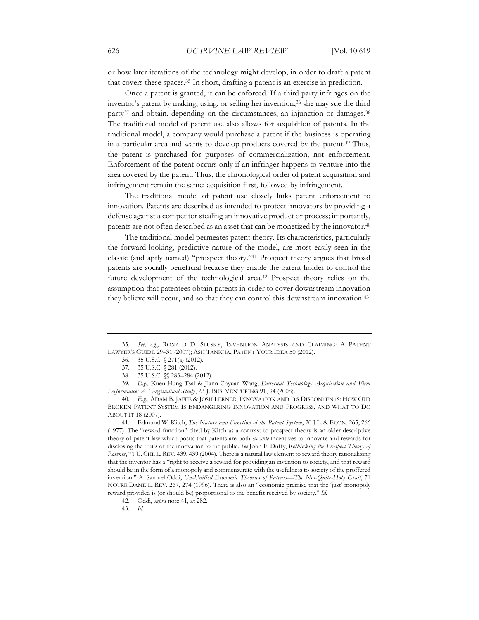or how later iterations of the technology might develop, in order to draft a patent that covers these spaces.35 In short, drafting a patent is an exercise in prediction.

Once a patent is granted, it can be enforced. If a third party infringes on the inventor's patent by making, using, or selling her invention,<sup>36</sup> she may sue the third party37 and obtain, depending on the circumstances, an injunction or damages.38 The traditional model of patent use also allows for acquisition of patents. In the traditional model, a company would purchase a patent if the business is operating in a particular area and wants to develop products covered by the patent.39 Thus, the patent is purchased for purposes of commercialization, not enforcement. Enforcement of the patent occurs only if an infringer happens to venture into the area covered by the patent. Thus, the chronological order of patent acquisition and infringement remain the same: acquisition first, followed by infringement.

The traditional model of patent use closely links patent enforcement to innovation. Patents are described as intended to protect innovators by providing a defense against a competitor stealing an innovative product or process; importantly, patents are not often described as an asset that can be monetized by the innovator.40

The traditional model permeates patent theory. Its characteristics, particularly the forward-looking, predictive nature of the model, are most easily seen in the classic (and aptly named) "prospect theory."41 Prospect theory argues that broad patents are socially beneficial because they enable the patent holder to control the future development of the technological area.42 Prospect theory relies on the assumption that patentees obtain patents in order to cover downstream innovation they believe will occur, and so that they can control this downstream innovation.<sup>43</sup>

39*. E.g.*, Kuen-Hung Tsai & Jiann-Chyuan Wang, *External Technology Acquisition and Firm Performance: A Longitudinal Study*, 23 J. BUS. VENTURING 91, 94 (2008).

41. Edmund W. Kitch, *The Nature and Function of the Patent System*, 20 J.L. & ECON. 265, 266 (1977). The "reward function" cited by Kitch as a contrast to prospect theory is an older descriptive theory of patent law which posits that patents are both *ex ante* incentives to innovate and rewards for disclosing the fruits of the innovation to the public. *See* John F. Duffy, *Rethinking the Prospect Theory of Patents*, 71 U. CHI. L. REV. 439, 439 (2004). There is a natural law element to reward theory rationalizing that the inventor has a "right to receive a reward for providing an invention to society, and that reward should be in the form of a monopoly and commensurate with the usefulness to society of the proffered invention." A. Samuel Oddi, *Un-Unified Economic Theories of Patents—The Not-Quite-Holy Grail*, 71 NOTRE DAME L. REV. 267, 274 (1996). There is also an "economic premise that the 'just' monopoly reward provided is (or should be) proportional to the benefit received by society." *Id.* 

<sup>35</sup>*. See, e.g.*, RONALD D. SLUSKY, INVENTION ANALYSIS AND CLAIMING: A PATENT LAWYER'S GUIDE 29–31 (2007); ASH TANKHA, PATENT YOUR IDEA 50 (2012).

<sup>36. 35</sup> U.S.C. § 271(a) (2012).

<sup>37. 35</sup> U.S.C. § 281 (2012).

<sup>38. 35</sup> U.S.C. §§ 283–284 (2012).

<sup>40</sup>*. E.g.*, ADAM B. JAFFE & JOSH LERNER, INNOVATION AND ITS DISCONTENTS: HOW OUR BROKEN PATENT SYSTEM IS ENDANGERING INNOVATION AND PROGRESS, AND WHAT TO DO ABOUT IT 18 (2007).

<sup>42.</sup> Oddi, *supra* note 41, at 282.

<sup>43</sup>*. Id.*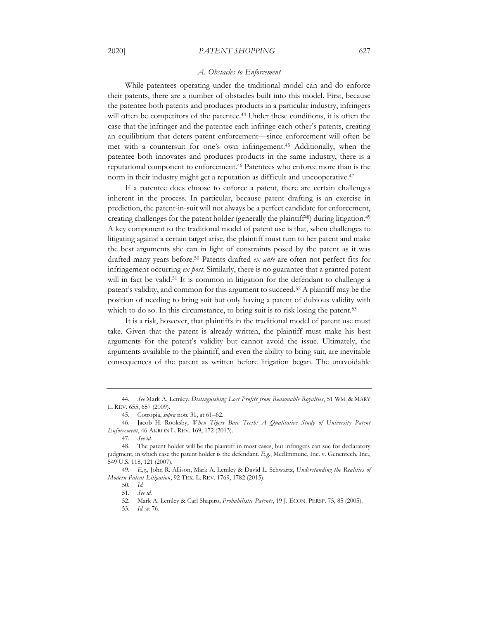#### 2020] *PATENT SHOPPING* 627

#### *A. Obstacles to Enforcement*

While patentees operating under the traditional model can and do enforce their patents, there are a number of obstacles built into this model. First, because the patentee both patents and produces products in a particular industry, infringers will often be competitors of the patentee.<sup>44</sup> Under these conditions, it is often the case that the infringer and the patentee each infringe each other's patents, creating an equilibrium that deters patent enforcement—since enforcement will often be met with a countersuit for one's own infringement.45 Additionally, when the patentee both innovates and produces products in the same industry, there is a reputational component to enforcement.46 Patentees who enforce more than is the norm in their industry might get a reputation as difficult and uncooperative.47

If a patentee does choose to enforce a patent, there are certain challenges inherent in the process. In particular, because patent drafting is an exercise in prediction, the patent-in-suit will not always be a perfect candidate for enforcement, creating challenges for the patent holder (generally the plaintiff<sup>48</sup>) during litigation.<sup>49</sup> A key component to the traditional model of patent use is that, when challenges to litigating against a certain target arise, the plaintiff must turn to her patent and make the best arguments she can in light of constraints posed by the patent as it was drafted many years before.50 Patents drafted *ex ante* are often not perfect fits for infringement occurring *ex post*. Similarly, there is no guarantee that a granted patent will in fact be valid.<sup>51</sup> It is common in litigation for the defendant to challenge a patent's validity, and common for this argument to succeed.52 A plaintiff may be the position of needing to bring suit but only having a patent of dubious validity with which to do so. In this circumstance, to bring suit is to risk losing the patent.<sup>53</sup>

It is a risk, however, that plaintiffs in the traditional model of patent use must take. Given that the patent is already written, the plaintiff must make his best arguments for the patent's validity but cannot avoid the issue. Ultimately, the arguments available to the plaintiff, and even the ability to bring suit, are inevitable consequences of the patent as written before litigation began. The unavoidable

<sup>44</sup>*. See* Mark A. Lemley, *Distinguishing Lost Profits from Reasonable Royalties*, 51 WM. & MARY L. REV. 655, 657 (2009).

<sup>45.</sup> Cotropia, *supra* note 31, at 61–62.

<sup>46.</sup> Jacob H. Rooksby, *When Tigers Bare Teeth: A Qualitative Study of University Patent Enforcement*, 46 AKRON L. REV. 169, 172 (2013).

<sup>47</sup>*. See id.*

<sup>48.</sup> The patent holder will be the plaintiff in most cases, but infringers can sue for declaratory judgment, in which case the patent holder is the defendant. *E.g.*, MedImmune, Inc. v. Genentech, Inc., 549 U.S. 118, 121 (2007).

<sup>49</sup>*. E.g.*, John R. Allison, Mark A. Lemley & David L. Schwartz, *Understanding the Realities of Modern Patent Litigation*, 92 TEX. L. REV. 1769, 1782 (2015).

<sup>50</sup>*. Id.* 

<sup>51</sup>*. See id.*

<sup>52.</sup> Mark A. Lemley & Carl Shapiro, *Probabilistic Patents*, 19 J. ECON. PERSP. 75, 85 (2005).

<sup>53</sup>*. Id.* at 76.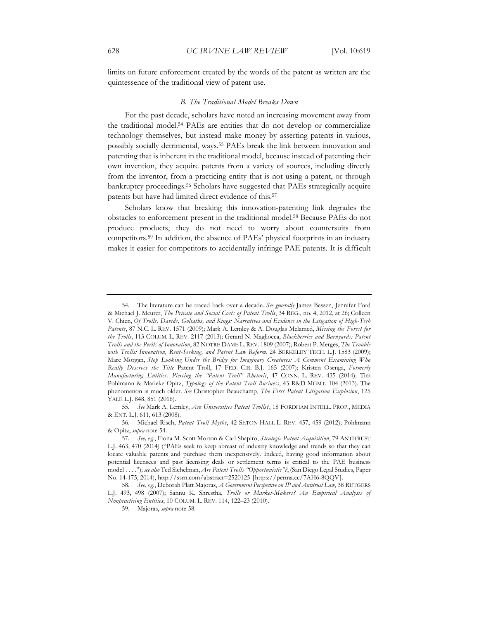limits on future enforcement created by the words of the patent as written are the quintessence of the traditional view of patent use.

#### *B. The Traditional Model Breaks Down*

For the past decade, scholars have noted an increasing movement away from the traditional model.54 PAEs are entities that do not develop or commercialize technology themselves, but instead make money by asserting patents in various, possibly socially detrimental, ways.55 PAEs break the link between innovation and patenting that is inherent in the traditional model, because instead of patenting their own invention, they acquire patents from a variety of sources, including directly from the inventor, from a practicing entity that is not using a patent, or through bankruptcy proceedings.56 Scholars have suggested that PAEs strategically acquire patents but have had limited direct evidence of this.57

Scholars know that breaking this innovation-patenting link degrades the obstacles to enforcement present in the traditional model.58 Because PAEs do not produce products, they do not need to worry about countersuits from competitors.59 In addition, the absence of PAEs' physical footprints in an industry makes it easier for competitors to accidentally infringe PAE patents. It is difficult

59. Majoras, *supra* note 58.

<sup>54.</sup> The literature can be traced back over a decade. *See generally* James Bessen, Jennifer Ford & Michael J. Meurer, *The Private and Social Costs of Patent Trolls*, 34 REG., no. 4, 2012, at 26; Colleen V. Chien, *Of Trolls, Davids, Goliaths, and Kings: Narratives and Evidence in the Litigation of High-Tech Patents*, 87 N.C. L. REV. 1571 (2009); Mark A. Lemley & A. Douglas Melamed, *Missing the Forest for the Trolls*, 113 COLUM. L. REV. 2117 (2013); Gerard N. Magliocca, *Blackberries and Barnyards: Patent Trolls and the Perils of Innovation*, 82 NOTRE DAME L. REV. 1809 (2007); Robert P. Merges, *The Trouble with Trolls: Innovation, Rent-Seeking, and Patent Law Reform*, 24 BERKELEY TECH. L.J. 1583 (2009); Marc Morgan, *Stop Looking Under the Bridge for Imaginary Creatures: A Comment Examining Who Really Deserves the Title* Patent Troll, 17 FED. CIR. B.J. 165 (2007); Kristen Osenga, *Formerly Manufacturing Entities: Piercing the "Patent Troll" Rhetoric*, 47 CONN. L. REV. 435 (2014); Tim Pohlmann & Marieke Opitz, *Typology of the Patent Troll Business*, 43 R&D MGMT. 104 (2013). The phenomenon is much older. *See* Christopher Beauchamp, *The First Patent Litigation Explosion*, 125 YALE L.J. 848, 851 (2016).

<sup>55</sup>*. See* Mark A. Lemley, *Are Universities Patent Trolls?*, 18 FORDHAM INTELL. PROP., MEDIA & ENT. L.J. 611, 613 (2008).

<sup>56.</sup> Michael Risch, *Patent Troll Myths*, 42 SETON HALL L. REV. 457, 459 (2012); Pohlmann & Opitz, *supra* note 54.

<sup>57</sup>*. See, e.g.*, Fiona M. Scott Morton & Carl Shapiro, *Strategic Patent Acquisition*, 79 ANTITRUST L.J. 463, 470 (2014) ("PAEs seek to keep abreast of industry knowledge and trends so that they can locate valuable patents and purchase them inexpensively. Indeed, having good information about potential licensees and past licensing deals or settlement terms is critical to the PAE business model . . . ."); *see also* Ted Sichelman, *Are Patent Trolls "Opportunistic"?*, (San Diego Legal Studies, Paper No. 14-175, 2014), http://ssrn.com/abstract=2520125 [https://perma.cc/7AH6-8QQV].

<sup>58</sup>*. See, e.g.*, Deborah Platt Majoras, *A Government Perspective on IP and Antitrust Law*, 38 RUTGERS L.J. 493, 498 (2007); Sannu K. Shrestha, *Trolls or Market-Makers? An Empirical Analysis of Nonpracticing Entities*, 10 COLUM. L. REV. 114, 122–23 (2010).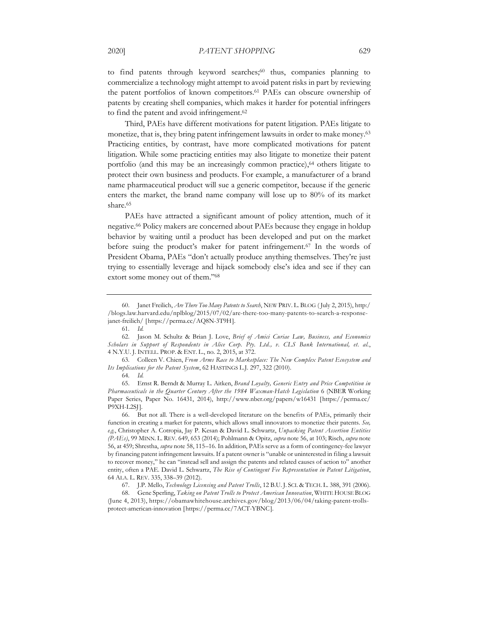to find patents through keyword searches; $60$  thus, companies planning to commercialize a technology might attempt to avoid patent risks in part by reviewing the patent portfolios of known competitors.61 PAEs can obscure ownership of patents by creating shell companies, which makes it harder for potential infringers to find the patent and avoid infringement.<sup>62</sup>

Third, PAEs have different motivations for patent litigation. PAEs litigate to monetize, that is, they bring patent infringement lawsuits in order to make money.<sup>63</sup> Practicing entities, by contrast, have more complicated motivations for patent litigation. While some practicing entities may also litigate to monetize their patent portfolio (and this may be an increasingly common practice),<sup>64</sup> others litigate to protect their own business and products. For example, a manufacturer of a brand name pharmaceutical product will sue a generic competitor, because if the generic enters the market, the brand name company will lose up to 80% of its market share.<sup>65</sup>

PAEs have attracted a significant amount of policy attention, much of it negative.66 Policy makers are concerned about PAEs because they engage in holdup behavior by waiting until a product has been developed and put on the market before suing the product's maker for patent infringement.67 In the words of President Obama, PAEs "don't actually produce anything themselves. They're just trying to essentially leverage and hijack somebody else's idea and see if they can extort some money out of them."68

65. Ernst R. Berndt & Murray L. Aitken, *Brand Loyalty, Generic Entry and Price Competition in Pharmaceuticals in the Quarter Century After the 1984 Waxman-Hatch Legislation* 6 (NBER Working Paper Series, Paper No. 16431, 2014), http://www.nber.org/papers/w16431 [https://perma.cc/ P9XH-L2SJ].

66. But not all. There is a well-developed literature on the benefits of PAEs, primarily their function in creating a market for patents, which allows small innovators to monetize their patents. *See, e.g.*, Christopher A. Cotropia, Jay P. Kesan & David L. Schwartz, *Unpacking Patent Assertion Entities (PAEs)*, 99 MINN. L. REV. 649, 653 (2014); Pohlmann & Opitz, *supra* note 56, at 103; Risch, *supra* note 56, at 459; Shrestha, *supra* note 58, 115–16. In addition, PAEs serve as a form of contingency-fee lawyer by financing patent infringement lawsuits. If a patent owner is "unable or uninterested in filing a lawsuit to recover money," he can "instead sell and assign the patents and related causes of action to" another entity, often a PAE. David L. Schwartz, *The Rise of Contingent Fee Representation in Patent Litigation*, 64 ALA. L. REV. 335, 338–39 (2012).

67. J.P. Mello, *Technology Licensing and Patent Trolls*, 12 B.U. J. SCI. & TECH. L. 388, 391 (2006).

68. Gene Sperling, *Taking on Patent Trolls to Protect American Innovation*, WHITE HOUSE BLOG (June 4, 2013), https://obamawhitehouse.archives.gov/blog/2013/06/04/taking-patent-trollsprotect-american-innovation [https://perma.cc/7ACT-YBNC].

<sup>60.</sup> Janet Freilich, *Are There Too Many Patents to Search*, NEW PRIV. L. BLOG ( July 2, 2015), http:/ /blogs.law.harvard.edu/nplblog/2015/07/02/are-there-too-many-patents-to-search-a-responsejanet-freilich/ [https://perma.cc/AQ8N-3T9H].

<sup>61</sup>*. Id.*

<sup>62.</sup> Jason M. Schultz & Brian J. Love, *Brief of Amici Curiae Law, Business, and Economics Scholars in Support of Respondents in Alice Corp. Pty. Ltd., v. CLS Bank International, et. al.*, 4 N.Y.U. J. INTELL. PROP. & ENT. L., no. 2, 2015, at 372.

<sup>63.</sup> Colleen V. Chien, *From Arms Race to Marketplace: The New Complex Patent Ecosystem and Its Implications for the Patent System*, 62 HASTINGS L.J. 297, 322 (2010).

<sup>64</sup>*. Id.*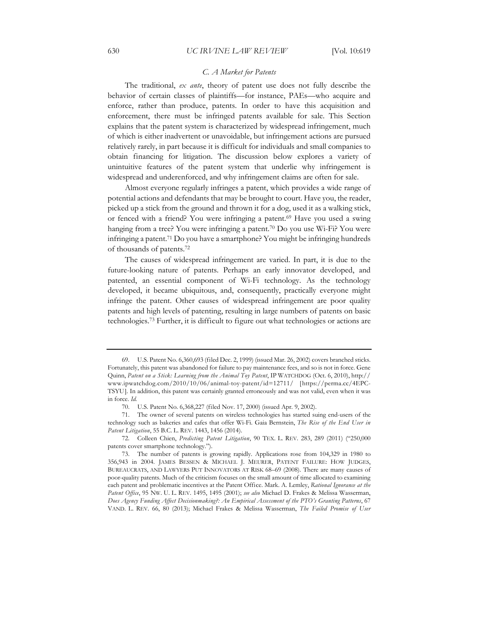## *C. A Market for Patents*

The traditional, *ex ante*, theory of patent use does not fully describe the behavior of certain classes of plaintiffs—for instance, PAEs—who acquire and enforce, rather than produce, patents. In order to have this acquisition and enforcement, there must be infringed patents available for sale. This Section explains that the patent system is characterized by widespread infringement, much of which is either inadvertent or unavoidable, but infringement actions are pursued relatively rarely, in part because it is difficult for individuals and small companies to obtain financing for litigation. The discussion below explores a variety of unintuitive features of the patent system that underlie why infringement is widespread and underenforced, and why infringement claims are often for sale.

Almost everyone regularly infringes a patent, which provides a wide range of potential actions and defendants that may be brought to court. Have you, the reader, picked up a stick from the ground and thrown it for a dog, used it as a walking stick, or fenced with a friend? You were infringing a patent.<sup>69</sup> Have you used a swing hanging from a tree? You were infringing a patent.<sup>70</sup> Do you use Wi-Fi? You were infringing a patent.71 Do you have a smartphone? You might be infringing hundreds of thousands of patents.72

The causes of widespread infringement are varied. In part, it is due to the future-looking nature of patents. Perhaps an early innovator developed, and patented, an essential component of Wi-Fi technology. As the technology developed, it became ubiquitous, and, consequently, practically everyone might infringe the patent. Other causes of widespread infringement are poor quality patents and high levels of patenting, resulting in large numbers of patents on basic technologies.73 Further, it is difficult to figure out what technologies or actions are

<sup>69.</sup> U.S. Patent No. 6,360,693 (filed Dec. 2, 1999) (issued Mar. 26, 2002) covers branched sticks. Fortunately, this patent was abandoned for failure to pay maintenance fees, and so is not in force. Gene Quinn, *Patent on a Stick: Learning from the Animal Toy Patent*, IP WATCHDOG (Oct. 6, 2010), http:// www.ipwatchdog.com/2010/10/06/animal-toy-patent/id=12711/ [https://perma.cc/4EPC-TSYU]. In addition, this patent was certainly granted erroneously and was not valid, even when it was in force. *Id.*

<sup>70.</sup> U.S. Patent No. 6,368,227 (filed Nov. 17, 2000) (issued Apr. 9, 2002).

<sup>71.</sup> The owner of several patents on wireless technologies has started suing end-users of the technology such as bakeries and cafes that offer Wi-Fi. Gaia Bernstein, *The Rise of the End User in Patent Litigation*, 55 B.C. L. REV. 1443, 1456 (2014).

<sup>72.</sup> Colleen Chien, *Predicting Patent Litigation*, 90 TEX. L. REV. 283, 289 (2011) ("250,000 patents cover smartphone technology.").

<sup>73.</sup> The number of patents is growing rapidly. Applications rose from 104,329 in 1980 to 356,943 in 2004. JAMES BESSEN & MICHAEL J. MEURER, PATENT FAILURE: HOW JUDGES, BUREAUCRATS, AND LAWYERS PUT INNOVATORS AT RISK 68–69 (2008). There are many causes of poor-quality patents. Much of the criticism focuses on the small amount of time allocated to examining each patent and problematic incentives at the Patent Office. Mark. A. Lemley, *Rational Ignorance at the Patent Office*, 95 NW. U. L. REV. 1495, 1495 (2001); *see also* Michael D. Frakes & Melissa Wasserman, *Does Agency Funding Affect Decisionmaking?: An Empirical Assessment of the PTO's Granting Patterns*, 67 VAND. L. REV. 66, 80 (2013); Michael Frakes & Melissa Wasserman, *The Failed Promise of User*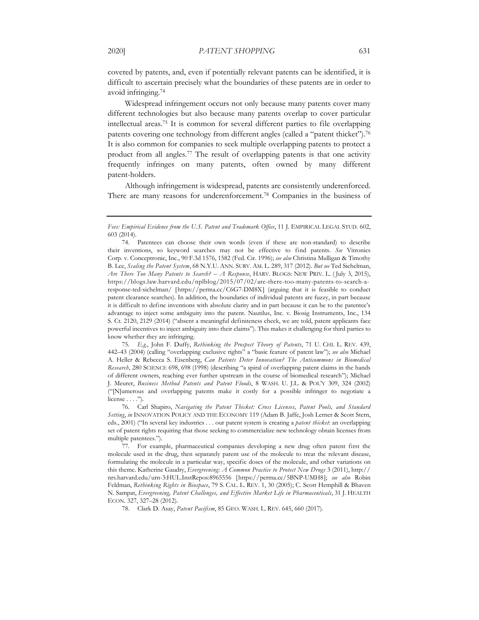covered by patents, and, even if potentially relevant patents can be identified, it is difficult to ascertain precisely what the boundaries of these patents are in order to avoid infringing.74

Widespread infringement occurs not only because many patents cover many different technologies but also because many patents overlap to cover particular intellectual areas.75 It is common for several different parties to file overlapping patents covering one technology from different angles (called a "patent thicket").76 It is also common for companies to seek multiple overlapping patents to protect a product from all angles.77 The result of overlapping patents is that one activity frequently infringes on many patents, often owned by many different patent-holders.

Although infringement is widespread, patents are consistently underenforced. There are many reasons for underenforcement.78 Companies in the business of

75*. E.g.*, John F. Duffy, *Rethinking the Prospect Theory of Patents*, 71 U. CHI. L. REV. 439, 442–43 (2004) (calling "overlapping exclusive rights" a "basic feature of patent law"); *see also* Michael A. Heller & Rebecca S. Eisenberg, *Can Patents Deter Innovation? The Anticommons in Biomedical Research*, 280 SCIENCE 698, 698 (1998) (describing "a spiral of overlapping patent claims in the hands of different owners, reaching ever further upstream in the course of biomedical research"); Michael J. Meurer, *Business Method Patents and Patent Floods*, 8 WASH. U. J.L. & POL'Y 309, 324 (2002) ("[N]umerous and overlapping patents make it costly for a possible infringer to negotiate a license . . . .").

*Fees: Empirical Evidence from the U.S. Patent and Trademark Office*, 11 J. EMPIRICAL LEGAL STUD. 602, 603 (2014).

<sup>74.</sup> Patentees can choose their own words (even if these are non-standard) to describe their inventions, so keyword searches may not be effective to find patents. *See* Vitronics Corp. v. Conceptronic, Inc., 90 F.3d 1576, 1582 (Fed. Cir. 1996); *see also* Christina Mulligan & Timothy B. Lee, *Scaling the Patent System*, 68 N.Y.U. ANN. SURV. AM. L. 289, 317 (2012). *But see* Ted Sichelman, *Are There Too Many Patents to Search? – A Response*, HARV. BLOGS: NEW PRIV. L. ( July 3, 2015), https://blogs.law.harvard.edu/nplblog/2015/07/02/are-there-too-many-patents-to-search-aresponse-ted-sichelman/ [https://perma.cc/C6G7-DM8X] (arguing that it is feasible to conduct patent clearance searches). In addition, the boundaries of individual patents are fuzzy, in part because it is difficult to define inventions with absolute clarity and in part because it can be to the patentee's advantage to inject some ambiguity into the patent. Nautilus, Inc. v. Biosig Instruments, Inc., 134 S. Ct. 2120, 2129 (2014) ("absent a meaningful definiteness check, we are told, patent applicants face powerful incentives to inject ambiguity into their claims"). This makes it challenging for third parties to know whether they are infringing.

<sup>76.</sup> Carl Shapiro, *Navigating the Patent Thicket: Cross Licenses, Patent Pools, and Standard Setting*, *in* INNOVATION POLICY AND THE ECONOMY 119 (Adam B. Jaffe, Josh Lerner & Scott Stern, eds., 2001) ("In several key industries . . . our patent system is creating a *patent thicket*: an overlapping set of patent rights requiring that those seeking to commercialize new technology obtain licenses from multiple patentees.").

<sup>77.</sup> For example, pharmaceutical companies developing a new drug often patent first the molecule used in the drug, then separately patent use of the molecule to treat the relevant disease, formulating the molecule in a particular way, specific doses of the molecule, and other variations on this theme. Katherine Gaudry, *Evergreening: A Common Practice to Protect New Drugs* 3 (2011), http:// nrs.harvard.edu/urn-3:HUL.InstRepos:8965556 [https://perma.cc/5BNP-UMH8]; *see also* Robin Feldman, *Rethinking Rights in Biospace*, 79 S. CAL. L. REV. 1, 30 (2005); C. Scott Hemphill & Bhaven N. Sampat, *Evergreening, Patent Challenges, and Effective Market Life in Pharmaceuticals*, 31 J. HEALTH ECON. 327, 327–28 (2012).

<sup>78.</sup> Clark D. Asay, *Patent Pacifism*, 85 GEO. WASH. L. REV. 645, 660 (2017).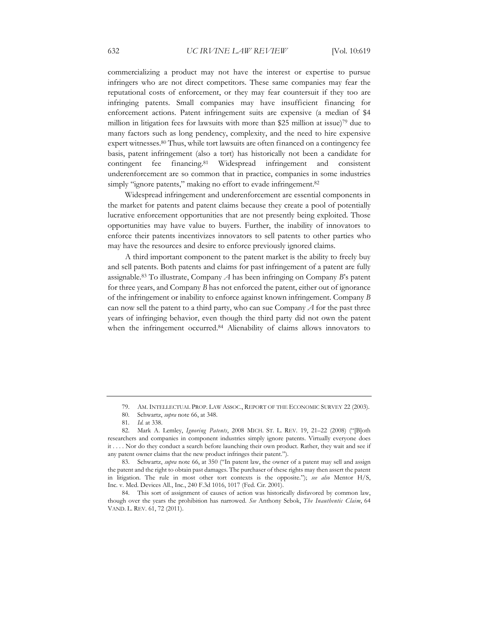commercializing a product may not have the interest or expertise to pursue infringers who are not direct competitors. These same companies may fear the reputational costs of enforcement, or they may fear countersuit if they too are infringing patents. Small companies may have insufficient financing for enforcement actions. Patent infringement suits are expensive (a median of \$4 million in litigation fees for lawsuits with more than \$25 million at issue)79 due to many factors such as long pendency, complexity, and the need to hire expensive expert witnesses.80 Thus, while tort lawsuits are often financed on a contingency fee basis, patent infringement (also a tort) has historically not been a candidate for contingent fee financing.81 Widespread infringement and consistent underenforcement are so common that in practice, companies in some industries simply "ignore patents," making no effort to evade infringement.<sup>82</sup>

Widespread infringement and underenforcement are essential components in the market for patents and patent claims because they create a pool of potentially lucrative enforcement opportunities that are not presently being exploited. Those opportunities may have value to buyers. Further, the inability of innovators to enforce their patents incentivizes innovators to sell patents to other parties who may have the resources and desire to enforce previously ignored claims.

A third important component to the patent market is the ability to freely buy and sell patents. Both patents and claims for past infringement of a patent are fully assignable.83 To illustrate, Company *A* has been infringing on Company *B*'s patent for three years, and Company *B* has not enforced the patent, either out of ignorance of the infringement or inability to enforce against known infringement. Company *B* can now sell the patent to a third party, who can sue Company *A* for the past three years of infringing behavior, even though the third party did not own the patent when the infringement occurred.<sup>84</sup> Alienability of claims allows innovators to

<sup>79.</sup> AM. INTELLECTUAL PROP. LAW ASSOC., REPORT OF THE ECONOMIC SURVEY 22 (2003).

<sup>80.</sup> Schwartz, *supra* note 66, at 348.

<sup>81</sup>*. Id.* at 338.

<sup>82.</sup> Mark A. Lemley, *Ignoring Patents*, 2008 MICH. ST. L. REV. 19, 21–22 (2008) ("[B]oth researchers and companies in component industries simply ignore patents. Virtually everyone does it . . . . Nor do they conduct a search before launching their own product. Rather, they wait and see if any patent owner claims that the new product infringes their patent.").

<sup>83.</sup> Schwartz, *supra* note 66, at 350 ("In patent law, the owner of a patent may sell and assign the patent and the right to obtain past damages. The purchaser of these rights may then assert the patent in litigation. The rule in most other tort contexts is the opposite."); *see also* Mentor H/S, Inc. v. Med. Devices All., Inc., 240 F.3d 1016, 1017 (Fed. Cir. 2001).

<sup>84.</sup> This sort of assignment of causes of action was historically disfavored by common law, though over the years the prohibition has narrowed. *See* Anthony Sebok, *The Inauthentic Claim*, 64 VAND. L. REV. 61, 72 (2011).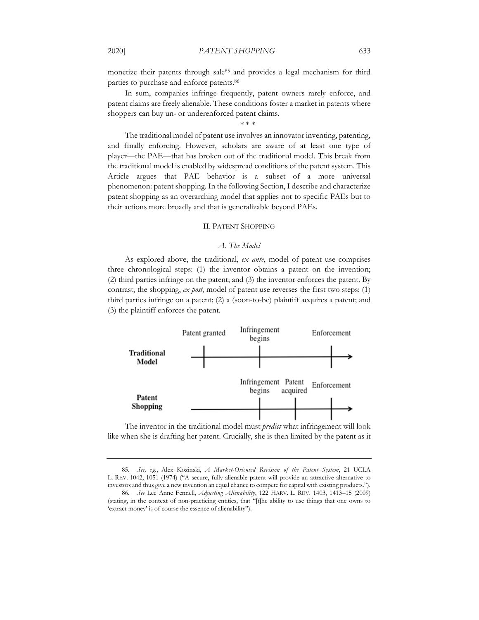monetize their patents through sale<sup>85</sup> and provides a legal mechanism for third parties to purchase and enforce patents.86

In sum, companies infringe frequently, patent owners rarely enforce, and patent claims are freely alienable. These conditions foster a market in patents where shoppers can buy un- or underenforced patent claims.

\* \* \*

The traditional model of patent use involves an innovator inventing, patenting, and finally enforcing. However, scholars are aware of at least one type of player—the PAE—that has broken out of the traditional model. This break from the traditional model is enabled by widespread conditions of the patent system. This Article argues that PAE behavior is a subset of a more universal phenomenon: patent shopping. In the following Section, I describe and characterize patent shopping as an overarching model that applies not to specific PAEs but to their actions more broadly and that is generalizable beyond PAEs.

#### II. PATENT SHOPPING

#### *A. The Model*

As explored above, the traditional, *ex ante*, model of patent use comprises three chronological steps: (1) the inventor obtains a patent on the invention; (2) third parties infringe on the patent; and (3) the inventor enforces the patent. By contrast, the shopping, *ex post*, model of patent use reverses the first two steps: (1) third parties infringe on a patent; (2) a (soon-to-be) plaintiff acquires a patent; and (3) the plaintiff enforces the patent.



The inventor in the traditional model must *predict* what infringement will look like when she is drafting her patent. Crucially, she is then limited by the patent as it

85*. See, e.g.*, Alex Kozinski, *A Market-Oriented Revision of the Patent System*, 21 UCLA L. REV. 1042, 1051 (1974) ("A secure, fully alienable patent will provide an attractive alternative to investors and thus give a new invention an equal chance to compete for capital with existing products.").

<sup>86</sup>*. See* Lee Anne Fennell, *Adjusting Alienability*, 122 HARV. L. REV. 1403, 1413–15 (2009) (stating, in the context of non-practicing entities, that "[t]he ability to use things that one owns to 'extract money' is of course the essence of alienability").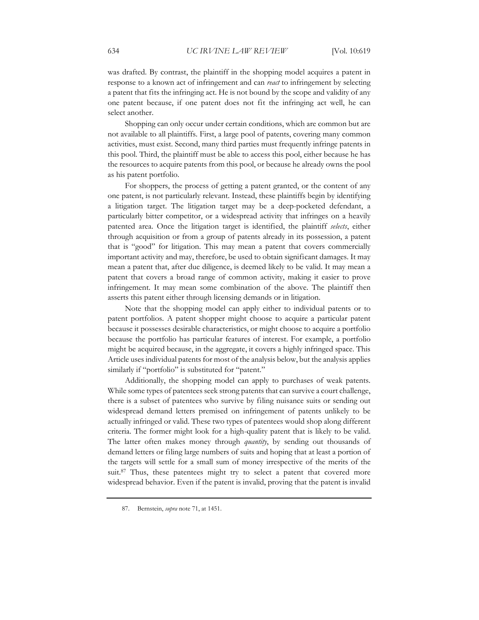was drafted. By contrast, the plaintiff in the shopping model acquires a patent in response to a known act of infringement and can *react* to infringement by selecting a patent that fits the infringing act. He is not bound by the scope and validity of any one patent because, if one patent does not fit the infringing act well, he can select another.

Shopping can only occur under certain conditions, which are common but are not available to all plaintiffs. First, a large pool of patents, covering many common activities, must exist. Second, many third parties must frequently infringe patents in this pool. Third, the plaintiff must be able to access this pool, either because he has the resources to acquire patents from this pool, or because he already owns the pool as his patent portfolio.

For shoppers, the process of getting a patent granted, or the content of any one patent, is not particularly relevant. Instead, these plaintiffs begin by identifying a litigation target. The litigation target may be a deep-pocketed defendant, a particularly bitter competitor, or a widespread activity that infringes on a heavily patented area. Once the litigation target is identified, the plaintiff *selects*, either through acquisition or from a group of patents already in its possession, a patent that is "good" for litigation. This may mean a patent that covers commercially important activity and may, therefore, be used to obtain significant damages. It may mean a patent that, after due diligence, is deemed likely to be valid. It may mean a patent that covers a broad range of common activity, making it easier to prove infringement. It may mean some combination of the above. The plaintiff then asserts this patent either through licensing demands or in litigation.

Note that the shopping model can apply either to individual patents or to patent portfolios. A patent shopper might choose to acquire a particular patent because it possesses desirable characteristics, or might choose to acquire a portfolio because the portfolio has particular features of interest. For example, a portfolio might be acquired because, in the aggregate, it covers a highly infringed space. This Article uses individual patents for most of the analysis below, but the analysis applies similarly if "portfolio" is substituted for "patent."

Additionally, the shopping model can apply to purchases of weak patents. While some types of patentees seek strong patents that can survive a court challenge, there is a subset of patentees who survive by filing nuisance suits or sending out widespread demand letters premised on infringement of patents unlikely to be actually infringed or valid. These two types of patentees would shop along different criteria. The former might look for a high-quality patent that is likely to be valid. The latter often makes money through *quantity*, by sending out thousands of demand letters or filing large numbers of suits and hoping that at least a portion of the targets will settle for a small sum of money irrespective of the merits of the suit.<sup>87</sup> Thus, these patentees might try to select a patent that covered more widespread behavior. Even if the patent is invalid, proving that the patent is invalid

<sup>87.</sup> Bernstein, *supra* note 71, at 1451.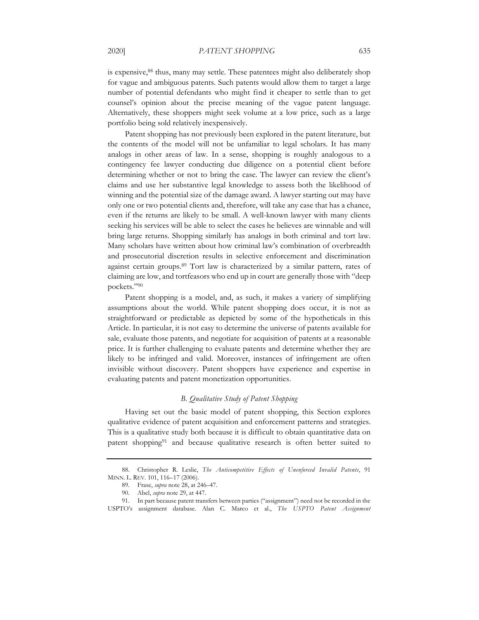is expensive,88 thus, many may settle. These patentees might also deliberately shop for vague and ambiguous patents. Such patents would allow them to target a large number of potential defendants who might find it cheaper to settle than to get counsel's opinion about the precise meaning of the vague patent language. Alternatively, these shoppers might seek volume at a low price, such as a large portfolio being sold relatively inexpensively.

Patent shopping has not previously been explored in the patent literature, but the contents of the model will not be unfamiliar to legal scholars. It has many analogs in other areas of law. In a sense, shopping is roughly analogous to a contingency fee lawyer conducting due diligence on a potential client before determining whether or not to bring the case. The lawyer can review the client's claims and use her substantive legal knowledge to assess both the likelihood of winning and the potential size of the damage award. A lawyer starting out may have only one or two potential clients and, therefore, will take any case that has a chance, even if the returns are likely to be small. A well-known lawyer with many clients seeking his services will be able to select the cases he believes are winnable and will bring large returns. Shopping similarly has analogs in both criminal and tort law. Many scholars have written about how criminal law's combination of overbreadth and prosecutorial discretion results in selective enforcement and discrimination against certain groups.89 Tort law is characterized by a similar pattern, rates of claiming are low, and tortfeasors who end up in court are generally those with "deep pockets."90

Patent shopping is a model, and, as such, it makes a variety of simplifying assumptions about the world. While patent shopping does occur, it is not as straightforward or predictable as depicted by some of the hypotheticals in this Article. In particular, it is not easy to determine the universe of patents available for sale, evaluate those patents, and negotiate for acquisition of patents at a reasonable price. It is further challenging to evaluate patents and determine whether they are likely to be infringed and valid. Moreover, instances of infringement are often invisible without discovery. Patent shoppers have experience and expertise in evaluating patents and patent monetization opportunities.

#### *B. Qualitative Study of Patent Shopping*

Having set out the basic model of patent shopping, this Section explores qualitative evidence of patent acquisition and enforcement patterns and strategies. This is a qualitative study both because it is difficult to obtain quantitative data on patent shopping91 and because qualitative research is often better suited to

<sup>88.</sup> Christopher R. Leslie, *The Anticompetitive Effects of Unenforced Invalid Patents*, 91 MINN. L. REV. 101, 116–17 (2006).

<sup>89.</sup> Frase, *supra* note 28, at 246–47.

<sup>90.</sup> Abel, *supra* note 29, at 447.

<sup>91.</sup> In part because patent transfers between parties ("assignment") need not be recorded in the USPTO's assignment database. Alan C. Marco et al., *The USPTO Patent Assignment*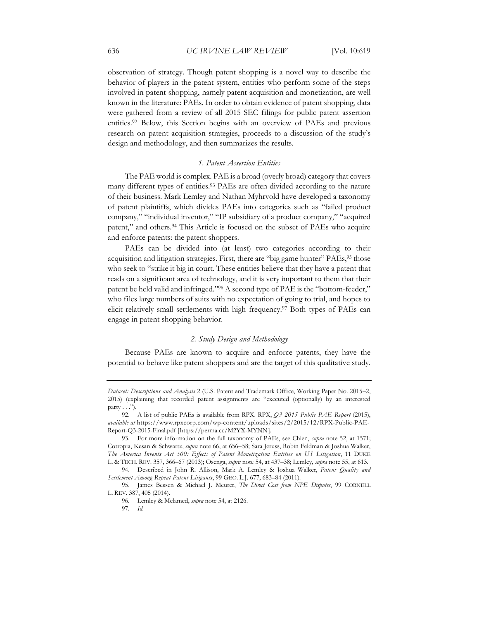observation of strategy. Though patent shopping is a novel way to describe the behavior of players in the patent system, entities who perform some of the steps involved in patent shopping, namely patent acquisition and monetization, are well known in the literature: PAEs. In order to obtain evidence of patent shopping, data were gathered from a review of all 2015 SEC filings for public patent assertion entities.92 Below, this Section begins with an overview of PAEs and previous research on patent acquisition strategies, proceeds to a discussion of the study's design and methodology, and then summarizes the results.

#### *1. Patent Assertion Entities*

The PAE world is complex. PAE is a broad (overly broad) category that covers many different types of entities.<sup>93</sup> PAEs are often divided according to the nature of their business. Mark Lemley and Nathan Myhrvold have developed a taxonomy of patent plaintiffs, which divides PAEs into categories such as "failed product company," "individual inventor," "IP subsidiary of a product company," "acquired patent," and others.<sup>94</sup> This Article is focused on the subset of PAEs who acquire and enforce patents: the patent shoppers.

PAEs can be divided into (at least) two categories according to their acquisition and litigation strategies. First, there are "big game hunter" PAEs,<sup>95</sup> those who seek to "strike it big in court. These entities believe that they have a patent that reads on a significant area of technology, and it is very important to them that their patent be held valid and infringed."96 A second type of PAE is the "bottom-feeder," who files large numbers of suits with no expectation of going to trial, and hopes to elicit relatively small settlements with high frequency.97 Both types of PAEs can engage in patent shopping behavior.

#### *2. Study Design and Methodology*

Because PAEs are known to acquire and enforce patents, they have the potential to behave like patent shoppers and are the target of this qualitative study.

*Dataset: Descriptions and Analysis* 2 (U.S. Patent and Trademark Office, Working Paper No. 2015–2, 2015) (explaining that recorded patent assignments are "executed (optionally) by an interested party . . .").

<sup>92.</sup> A list of public PAEs is available from RPX. RPX, *Q3 2015 Public PAE Report* (2015), *available at* https://www.rpxcorp.com/wp-content/uploads/sites/2/2015/12/RPX-Public-PAE-Report-Q3-2015-Final.pdf [https://perma.cc/M2YX-MYNN].

<sup>93.</sup> For more information on the full taxonomy of PAEs, see Chien, *supra* note 52, at 1571; Cotropia, Kesan & Schwartz, *supra* note 66, at 656–58; Sara Jeruss, Robin Feldman & Joshua Walker, *The America Invents Act 500: Effects of Patent Monetization Entities on US Litigation*, 11 DUKE L. & TECH. REV. 357, 366–67 (2013); Osenga, *supra* note 54, at 437–38; Lemley, *supra* note 55, at 613.

<sup>94.</sup> Described in John R. Allison, Mark A. Lemley & Joshua Walker, *Patent Quality and Settlement Among Repeat Patent Litigants*, 99 GEO. L.J. 677, 683–84 (2011).

<sup>95.</sup> James Bessen & Michael J. Meurer, *The Direct Cost from NPE Disputes*, 99 CORNELL L. REV. 387, 405 (2014).

<sup>96.</sup> Lemley & Melamed, *supra* note 54, at 2126.

<sup>97</sup>*. Id.*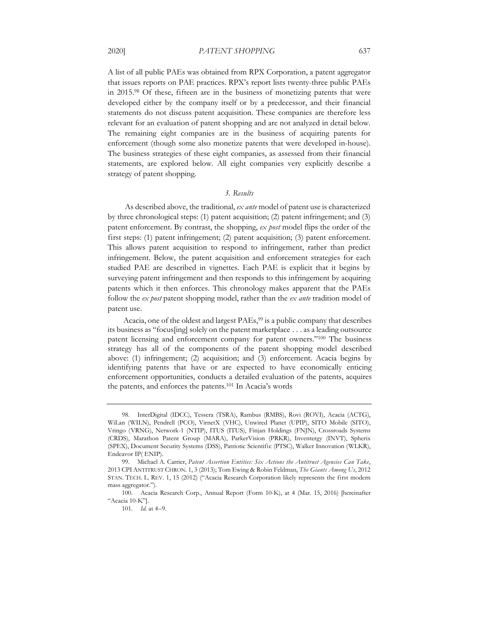A list of all public PAEs was obtained from RPX Corporation, a patent aggregator that issues reports on PAE practices. RPX's report lists twenty-three public PAEs in 2015.98 Of these, fifteen are in the business of monetizing patents that were developed either by the company itself or by a predecessor, and their financial statements do not discuss patent acquisition. These companies are therefore less relevant for an evaluation of patent shopping and are not analyzed in detail below. The remaining eight companies are in the business of acquiring patents for enforcement (though some also monetize patents that were developed in-house). The business strategies of these eight companies, as assessed from their financial statements, are explored below. All eight companies very explicitly describe a strategy of patent shopping.

### *3. Results*

As described above, the traditional, *ex ante* model of patent use is characterized by three chronological steps: (1) patent acquisition; (2) patent infringement; and (3) patent enforcement. By contrast, the shopping, *ex post* model flips the order of the first steps: (1) patent infringement; (2) patent acquisition; (3) patent enforcement. This allows patent acquisition to respond to infringement, rather than predict infringement. Below, the patent acquisition and enforcement strategies for each studied PAE are described in vignettes. Each PAE is explicit that it begins by surveying patent infringement and then responds to this infringement by acquiring patents which it then enforces. This chronology makes apparent that the PAEs follow the *ex post* patent shopping model, rather than the *ex ante* tradition model of patent use.

Acacia, one of the oldest and largest PAEs,<sup>99</sup> is a public company that describes its business as "focus[ing] solely on the patent marketplace . . . as a leading outsource patent licensing and enforcement company for patent owners."100 The business strategy has all of the components of the patent shopping model described above: (1) infringement; (2) acquisition; and (3) enforcement. Acacia begins by identifying patents that have or are expected to have economically enticing enforcement opportunities, conducts a detailed evaluation of the patents, acquires the patents, and enforces the patents.101 In Acacia's words

<sup>98.</sup> InterDigital (IDCC), Tessera (TSRA), Rambus (RMBS), Rovi (ROVI), Acacia (ACTG), WiLan (WILN), Pendrell (PCO), VirnetX (VHC), Unwired Planet (UPIP), SITO Mobile (SITO), Vringo (VRNG), Network-1 (NTIP), ITUS (ITUS), Finjan Holdings (FNJN), Crossroads Systems (CRDS), Marathon Patent Group (MARA), ParkerVision (PRKR), Inventergy (INVT), Spherix (SPEX), Document Security Systems (DSS), Patriotic Scientific (PTSC), Walker Innovation (WLKR), Endeavor IP( ENIP).

<sup>99.</sup> Michael A. Carrier, *Patent Assertion Entities: Six Actions the Antitrust Agencies Can Take*, 2013 CPI ANTITRUST CHRON. 1, 3 (2013); Tom Ewing & Robin Feldman, *The Giants Among Us*, 2012 STAN. TECH. L. REV. 1, 15 (2012) ("Acacia Research Corporation likely represents the first modern mass aggregator.").

<sup>100.</sup> Acacia Research Corp., Annual Report (Form 10-K), at 4 (Mar. 15, 2016) [hereinafter "Acacia 10-K"].

<sup>101</sup>*. Id.* at 4–9.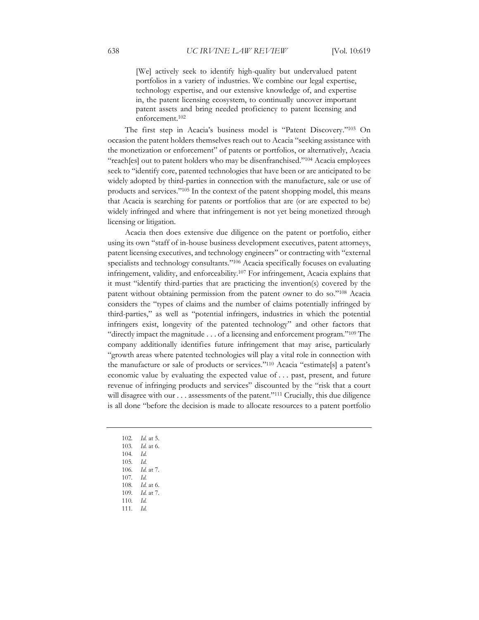[We] actively seek to identify high-quality but undervalued patent portfolios in a variety of industries. We combine our legal expertise, technology expertise, and our extensive knowledge of, and expertise in, the patent licensing ecosystem, to continually uncover important patent assets and bring needed proficiency to patent licensing and enforcement.102

The first step in Acacia's business model is "Patent Discovery."103 On occasion the patent holders themselves reach out to Acacia "seeking assistance with the monetization or enforcement" of patents or portfolios, or alternatively, Acacia "reach[es] out to patent holders who may be disenfranchised."104 Acacia employees seek to "identify core, patented technologies that have been or are anticipated to be widely adopted by third-parties in connection with the manufacture, sale or use of products and services."105 In the context of the patent shopping model, this means that Acacia is searching for patents or portfolios that are (or are expected to be) widely infringed and where that infringement is not yet being monetized through licensing or litigation.

Acacia then does extensive due diligence on the patent or portfolio, either using its own "staff of in-house business development executives, patent attorneys, patent licensing executives, and technology engineers" or contracting with "external specialists and technology consultants."106 Acacia specifically focuses on evaluating infringement, validity, and enforceability.107 For infringement, Acacia explains that it must "identify third-parties that are practicing the invention(s) covered by the patent without obtaining permission from the patent owner to do so."108 Acacia considers the "types of claims and the number of claims potentially infringed by third-parties," as well as "potential infringers, industries in which the potential infringers exist, longevity of the patented technology" and other factors that "directly impact the magnitude . . . of a licensing and enforcement program."109 The company additionally identifies future infringement that may arise, particularly "growth areas where patented technologies will play a vital role in connection with the manufacture or sale of products or services."110 Acacia "estimate[s] a patent's economic value by evaluating the expected value of . . . past, present, and future revenue of infringing products and services" discounted by the "risk that a court will disagree with our . . . assessments of the patent."<sup>111</sup> Crucially, this due diligence is all done "before the decision is made to allocate resources to a patent portfolio

- 102*. Id.* at 5. 103*. Id.* at 6. 104*. Id.* 105*. Id.* 106*. Id.* at 7. 107*. Id.* 108*. Id.* at 6.
- 109*. Id.* at 7.
- 110*. Id.*
- 111*. Id.*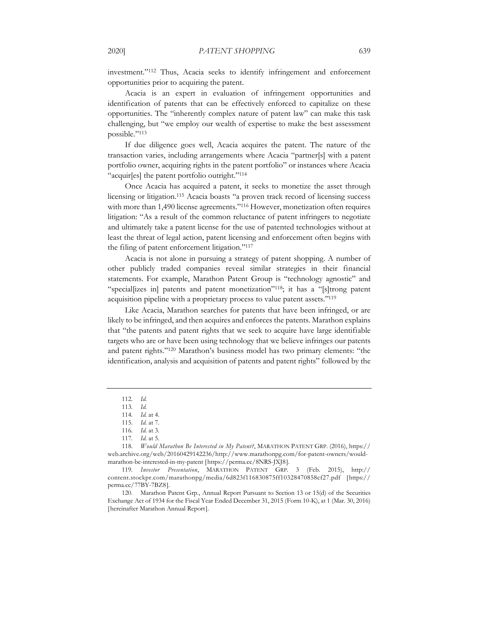investment."112 Thus, Acacia seeks to identify infringement and enforcement opportunities prior to acquiring the patent.

Acacia is an expert in evaluation of infringement opportunities and identification of patents that can be effectively enforced to capitalize on these opportunities. The "inherently complex nature of patent law" can make this task challenging, but "we employ our wealth of expertise to make the best assessment possible."113

If due diligence goes well, Acacia acquires the patent. The nature of the transaction varies, including arrangements where Acacia "partner[s] with a patent portfolio owner, acquiring rights in the patent portfolio" or instances where Acacia "acquir[es] the patent portfolio outright."114

Once Acacia has acquired a patent, it seeks to monetize the asset through licensing or litigation.115 Acacia boasts "a proven track record of licensing success with more than 1,490 license agreements."116 However, monetization often requires litigation: "As a result of the common reluctance of patent infringers to negotiate and ultimately take a patent license for the use of patented technologies without at least the threat of legal action, patent licensing and enforcement often begins with the filing of patent enforcement litigation."117

Acacia is not alone in pursuing a strategy of patent shopping. A number of other publicly traded companies reveal similar strategies in their financial statements. For example, Marathon Patent Group is "technology agnostic" and "special[izes in] patents and patent monetization"118; it has a "[s]trong patent acquisition pipeline with a proprietary process to value patent assets."119

Like Acacia, Marathon searches for patents that have been infringed, or are likely to be infringed, and then acquires and enforces the patents. Marathon explains that "the patents and patent rights that we seek to acquire have large identifiable targets who are or have been using technology that we believe infringes our patents and patent rights."120 Marathon's business model has two primary elements: "the identification, analysis and acquisition of patents and patent rights" followed by the

120. Marathon Patent Grp., Annual Report Pursuant to Section 13 or 15(d) of the Securities Exchange Act of 1934 for the Fiscal Year Ended December 31, 2015 (Form 10-K), at 1 (Mar. 30, 2016) [hereinafter Marathon Annual Report].

<sup>112</sup>*. Id.*

<sup>113</sup>*. Id.*

<sup>114</sup>*. Id.* at 4.

<sup>115</sup>*. Id.* at 7.

<sup>116</sup>*. Id.* at 3.

<sup>117</sup>*. Id.* at 5.

<sup>118</sup>*. Would Marathon Be Interested in My Patent?*, MARATHON PATENT GRP. (2016), https:// web.archive.org/web/20160429142236/http://www.marathonpg.com/for-patent-owners/wouldmarathon-be-interested-in-my-patent [https://perma.cc/8NRS-JXJ8].

<sup>119</sup>*. Investor Presentation*, MARATHON PATENT GRP. 3 (Feb. 2015), http:// content.stockpr.com/marathonpg/media/6d823f116830875ff10328470858cf27.pdf [https:// perma.cc/77BY-7BZ8].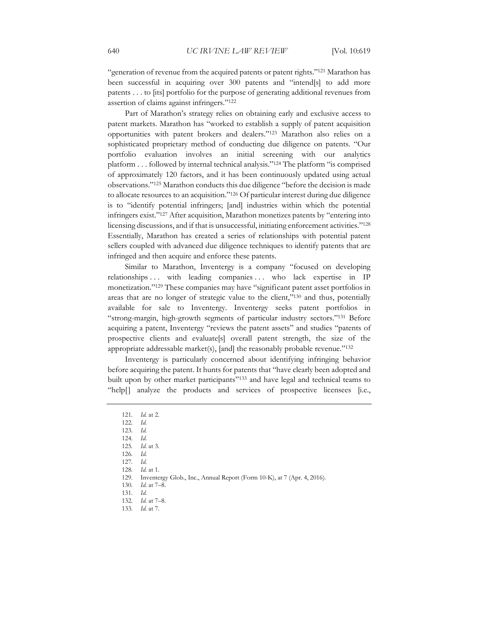"generation of revenue from the acquired patents or patent rights."121 Marathon has been successful in acquiring over 300 patents and "intend[s] to add more patents . . . to [its] portfolio for the purpose of generating additional revenues from assertion of claims against infringers."122

Part of Marathon's strategy relies on obtaining early and exclusive access to patent markets. Marathon has "worked to establish a supply of patent acquisition opportunities with patent brokers and dealers."123 Marathon also relies on a sophisticated proprietary method of conducting due diligence on patents. "Our portfolio evaluation involves an initial screening with our analytics platform . . . followed by internal technical analysis."124 The platform "is comprised of approximately 120 factors, and it has been continuously updated using actual observations."125 Marathon conducts this due diligence "before the decision is made to allocate resources to an acquisition."126 Of particular interest during due diligence is to "identify potential infringers; [and] industries within which the potential infringers exist."127 After acquisition, Marathon monetizes patents by "entering into licensing discussions, and if that is unsuccessful, initiating enforcement activities."128 Essentially, Marathon has created a series of relationships with potential patent sellers coupled with advanced due diligence techniques to identify patents that are infringed and then acquire and enforce these patents.

Similar to Marathon, Inventergy is a company "focused on developing relationships ... with leading companies ... who lack expertise in IP monetization."129 These companies may have "significant patent asset portfolios in areas that are no longer of strategic value to the client,"130 and thus, potentially available for sale to Inventergy. Inventergy seeks patent portfolios in "strong-margin, high-growth segments of particular industry sectors."131 Before acquiring a patent, Inventergy "reviews the patent assets" and studies "patents of prospective clients and evaluate[s] overall patent strength, the size of the appropriate addressable market(s), [and] the reasonably probable revenue."132

Inventergy is particularly concerned about identifying infringing behavior before acquiring the patent. It hunts for patents that "have clearly been adopted and built upon by other market participants"<sup>133</sup> and have legal and technical teams to "help[] analyze the products and services of prospective licensees [i.e.,

- 122*. Id.*
- 123*. Id.* 124*. Id.*
- 125*. Id.* at 3.
- 126*. Id.*
- 127*. Id.*
- 128*. Id.* at 1.
- 129. Inventergy Glob., Inc., Annual Report (Form 10-K), at 7 (Apr. 4, 2016).
- 130*. Id.* at 7–8.
- 131*. Id.*
- 132*. Id.* at 7–8.
- 133*. Id.* at 7.

<sup>121</sup>*. Id.* at 2.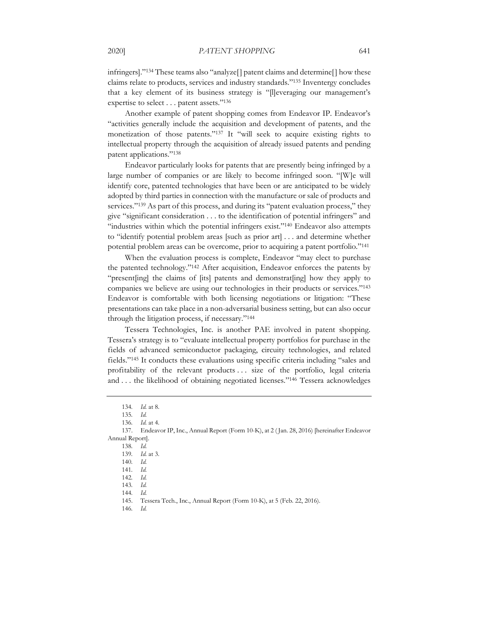infringers]."134 These teams also "analyze[] patent claims and determine[] how these claims relate to products, services and industry standards."135 Inventergy concludes that a key element of its business strategy is "[l]everaging our management's expertise to select . . . patent assets."136

Another example of patent shopping comes from Endeavor IP. Endeavor's "activities generally include the acquisition and development of patents, and the monetization of those patents."137 It "will seek to acquire existing rights to intellectual property through the acquisition of already issued patents and pending patent applications."138

Endeavor particularly looks for patents that are presently being infringed by a large number of companies or are likely to become infringed soon. "[W]e will identify core, patented technologies that have been or are anticipated to be widely adopted by third parties in connection with the manufacture or sale of products and services."<sup>139</sup> As part of this process, and during its "patent evaluation process," they give "significant consideration . . . to the identification of potential infringers" and "industries within which the potential infringers exist."140 Endeavor also attempts to "identify potential problem areas [such as prior art] . . . and determine whether potential problem areas can be overcome, prior to acquiring a patent portfolio."141

When the evaluation process is complete, Endeavor "may elect to purchase the patented technology."142 After acquisition, Endeavor enforces the patents by "present[ing] the claims of [its] patents and demonstrat[ing] how they apply to companies we believe are using our technologies in their products or services."143 Endeavor is comfortable with both licensing negotiations or litigation: "These presentations can take place in a non-adversarial business setting, but can also occur through the litigation process, if necessary."144

Tessera Technologies, Inc. is another PAE involved in patent shopping. Tessera's strategy is to "evaluate intellectual property portfolios for purchase in the fields of advanced semiconductor packaging, circuity technologies, and related fields."145 It conducts these evaluations using specific criteria including "sales and profitability of the relevant products . . . size of the portfolio, legal criteria and . . . the likelihood of obtaining negotiated licenses."146 Tessera acknowledges

146*. Id.*

<sup>134</sup>*. Id.* at 8.

<sup>135</sup>*. Id.*

<sup>136</sup>*. Id.* at 4.

<sup>137.</sup> Endeavor IP, Inc., Annual Report (Form 10-K), at 2 ( Jan. 28, 2016) [hereinafter Endeavor Annual Report].

<sup>138</sup>*. Id.*

<sup>139</sup>*. Id.* at 3.

<sup>140</sup>*. Id.*

<sup>141</sup>*. Id.*

<sup>142</sup>*. Id.* 143*. Id.*

<sup>144</sup>*. Id.* 

<sup>145.</sup> Tessera Tech., Inc., Annual Report (Form 10-K), at 5 (Feb. 22, 2016).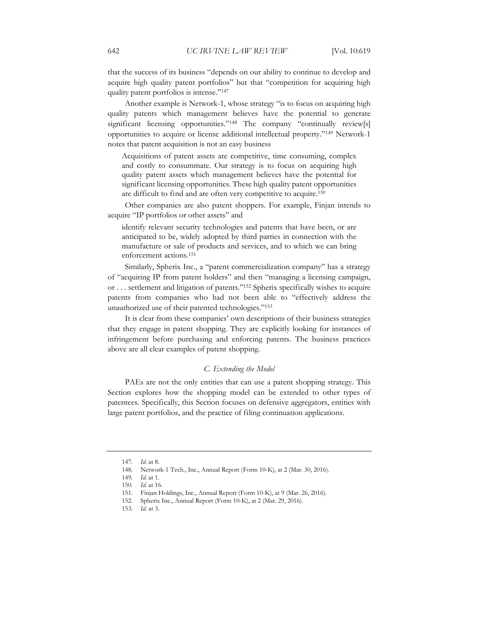that the success of its business "depends on our ability to continue to develop and acquire high quality patent portfolios" but that "competition for acquiring high quality patent portfolios is intense."147

Another example is Network-1, whose strategy "is to focus on acquiring high quality patents which management believes have the potential to generate significant licensing opportunities."<sup>148</sup> The company "continually review[s] opportunities to acquire or license additional intellectual property."149 Network-1 notes that patent acquisition is not an easy business

Acquisitions of patent assets are competitive, time consuming, complex and costly to consummate. Our strategy is to focus on acquiring high quality patent assets which management believes have the potential for significant licensing opportunities. These high quality patent opportunities are difficult to find and are often very competitive to acquire.150

Other companies are also patent shoppers. For example, Finjan intends to acquire "IP portfolios or other assets" and

identify relevant security technologies and patents that have been, or are anticipated to be, widely adopted by third parties in connection with the manufacture or sale of products and services, and to which we can bring enforcement actions.151

Similarly, Spherix Inc., a "patent commercialization company" has a strategy of "acquiring IP from patent holders" and then "managing a licensing campaign, or . . . settlement and litigation of patents."152 Spherix specifically wishes to acquire patents from companies who had not been able to "effectively address the unauthorized use of their patented technologies."153

It is clear from these companies' own descriptions of their business strategies that they engage in patent shopping. They are explicitly looking for instances of infringement before purchasing and enforcing patents. The business practices above are all clear examples of patent shopping.

#### *C. Extending the Model*

PAEs are not the only entities that can use a patent shopping strategy. This Section explores how the shopping model can be extended to other types of patentees. Specifically, this Section focuses on defensive aggregators, entities with large patent portfolios, and the practice of filing continuation applications.

<sup>147</sup>*. Id.* at 8.

<sup>148.</sup> Network-1 Tech., Inc., Annual Report (Form 10-K), at 2 (Mar. 30, 2016).

<sup>149</sup>*. Id.* at 1.

<sup>150</sup>*. Id.* at 16.

<sup>151.</sup> Finjan Holdings, Inc., Annual Report (Form 10-K), at 9 (Mar. 26, 2016).

<sup>152.</sup> Spherix Inc., Annual Report (Form 10-K), at 2 (Mar. 29, 2016).

<sup>153</sup>*. Id.* at 3.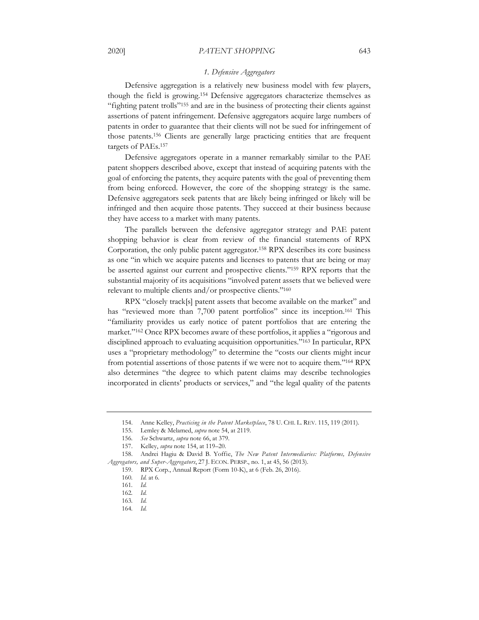#### 2020] *PATENT SHOPPING* 643

#### *1. Defensive Aggregators*

Defensive aggregation is a relatively new business model with few players, though the field is growing.154 Defensive aggregators characterize themselves as "fighting patent trolls"155 and are in the business of protecting their clients against assertions of patent infringement. Defensive aggregators acquire large numbers of patents in order to guarantee that their clients will not be sued for infringement of those patents.156 Clients are generally large practicing entities that are frequent targets of PAEs.157

Defensive aggregators operate in a manner remarkably similar to the PAE patent shoppers described above, except that instead of acquiring patents with the goal of enforcing the patents, they acquire patents with the goal of preventing them from being enforced. However, the core of the shopping strategy is the same. Defensive aggregators seek patents that are likely being infringed or likely will be infringed and then acquire those patents. They succeed at their business because they have access to a market with many patents.

The parallels between the defensive aggregator strategy and PAE patent shopping behavior is clear from review of the financial statements of RPX Corporation, the only public patent aggregator.158 RPX describes its core business as one "in which we acquire patents and licenses to patents that are being or may be asserted against our current and prospective clients."159 RPX reports that the substantial majority of its acquisitions "involved patent assets that we believed were relevant to multiple clients and/or prospective clients."160

RPX "closely track[s] patent assets that become available on the market" and has "reviewed more than 7,700 patent portfolios" since its inception.<sup>161</sup> This "familiarity provides us early notice of patent portfolios that are entering the market."162 Once RPX becomes aware of these portfolios, it applies a "rigorous and disciplined approach to evaluating acquisition opportunities."163 In particular, RPX uses a "proprietary methodology" to determine the "costs our clients might incur from potential assertions of those patents if we were not to acquire them."164 RPX also determines "the degree to which patent claims may describe technologies incorporated in clients' products or services," and "the legal quality of the patents

<sup>154.</sup> Anne Kelley, *Practicing in the Patent Marketplace*, 78 U. CHI. L. REV. 115, 119 (2011).

<sup>155.</sup> Lemley & Melamed, *supra* note 54, at 2119.

<sup>156</sup>*. See* Schwartz, *supra* note 66, at 379.

<sup>157.</sup> Kelley, *supra* note 154, at 119–20.

<sup>158.</sup> Andrei Hagiu & David B. Yoffie, *The New Patent Intermediaries: Platforms, Defensive Aggregators, and Super-Aggregators*, 27 J. ECON. PERSP., no. 1, at 45, 56 (2013).

<sup>159.</sup> RPX Corp., Annual Report (Form 10-K), at 6 (Feb. 26, 2016).

<sup>160</sup>*. Id.* at 6.

<sup>161</sup>*. Id.*

<sup>162</sup>*. Id.*

<sup>163</sup>*. Id.*

<sup>164</sup>*. Id.*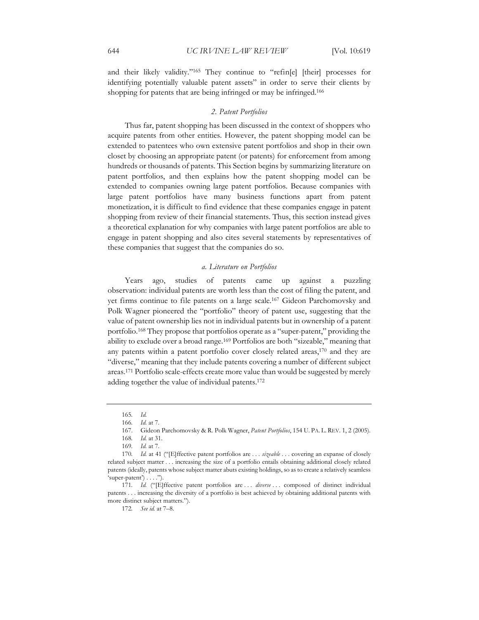and their likely validity."165 They continue to "refin[e] [their] processes for identifying potentially valuable patent assets" in order to serve their clients by shopping for patents that are being infringed or may be infringed.<sup>166</sup>

# *2. Patent Portfolios*

Thus far, patent shopping has been discussed in the context of shoppers who acquire patents from other entities. However, the patent shopping model can be extended to patentees who own extensive patent portfolios and shop in their own closet by choosing an appropriate patent (or patents) for enforcement from among hundreds or thousands of patents. This Section begins by summarizing literature on patent portfolios, and then explains how the patent shopping model can be extended to companies owning large patent portfolios. Because companies with large patent portfolios have many business functions apart from patent monetization, it is difficult to find evidence that these companies engage in patent shopping from review of their financial statements. Thus, this section instead gives a theoretical explanation for why companies with large patent portfolios are able to engage in patent shopping and also cites several statements by representatives of these companies that suggest that the companies do so.

#### *a. Literature on Portfolios*

Years ago, studies of patents came up against a puzzling observation: individual patents are worth less than the cost of filing the patent, and yet firms continue to file patents on a large scale.167 Gideon Parchomovsky and Polk Wagner pioneered the "portfolio" theory of patent use, suggesting that the value of patent ownership lies not in individual patents but in ownership of a patent portfolio.168 They propose that portfolios operate as a "super-patent," providing the ability to exclude over a broad range.169 Portfolios are both "sizeable," meaning that any patents within a patent portfolio cover closely related areas,170 and they are "diverse," meaning that they include patents covering a number of different subject areas.171 Portfolio scale-effects create more value than would be suggested by merely adding together the value of individual patents.172

172*. See id.* at 7–8.

<sup>165</sup>*. Id.*

<sup>166</sup>*. Id.* at 7.

<sup>167.</sup> Gideon Parchomovsky & R. Polk Wagner, *Patent Portfolios*, 154 U. PA. L. REV. 1, 2 (2005).

<sup>168</sup>*. Id.* at 31.

<sup>169</sup>*. Id.* at 7.

<sup>170</sup>*. Id.* at 41 ("[E]ffective patent portfolios are . . . *sizeable* . . . covering an expanse of closely related subject matter . . . increasing the size of a portfolio entails obtaining additional closely related patents (ideally, patents whose subject matter abuts existing holdings, so as to create a relatively seamless  $'super-paten't$ ) . . . .").

<sup>171.</sup> Id. ("[E]ffective patent portfolios are ... *diverse* ... composed of distinct individual patents . . . increasing the diversity of a portfolio is best achieved by obtaining additional patents with more distinct subject matters.").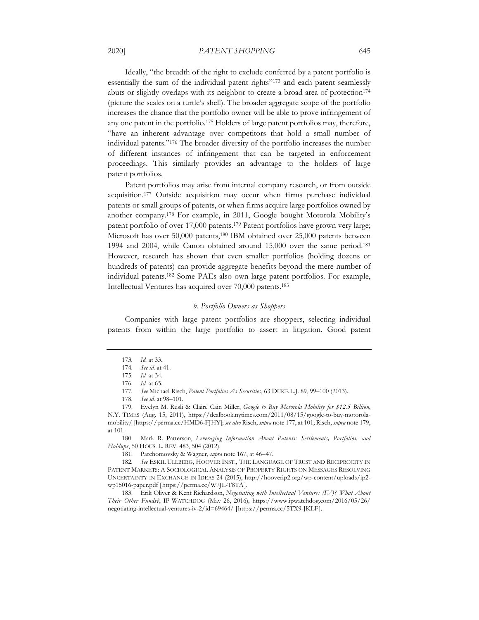#### 2020] *PATENT SHOPPING* 645

Ideally, "the breadth of the right to exclude conferred by a patent portfolio is essentially the sum of the individual patent rights"<sup>173</sup> and each patent seamlessly abuts or slightly overlaps with its neighbor to create a broad area of protection174 (picture the scales on a turtle's shell). The broader aggregate scope of the portfolio increases the chance that the portfolio owner will be able to prove infringement of any one patent in the portfolio.175 Holders of large patent portfolios may, therefore, "have an inherent advantage over competitors that hold a small number of individual patents."176 The broader diversity of the portfolio increases the number of different instances of infringement that can be targeted in enforcement proceedings. This similarly provides an advantage to the holders of large patent portfolios.

Patent portfolios may arise from internal company research, or from outside acquisition.177 Outside acquisition may occur when firms purchase individual patents or small groups of patents, or when firms acquire large portfolios owned by another company.178 For example, in 2011, Google bought Motorola Mobility's patent portfolio of over 17,000 patents.179 Patent portfolios have grown very large; Microsoft has over 50,000 patents,180 IBM obtained over 25,000 patents between 1994 and 2004, while Canon obtained around 15,000 over the same period.181 However, research has shown that even smaller portfolios (holding dozens or hundreds of patents) can provide aggregate benefits beyond the mere number of individual patents.182 Some PAEs also own large patent portfolios. For example, Intellectual Ventures has acquired over 70,000 patents.183

#### *b. Portfolio Owners as Shoppers*

Companies with large patent portfolios are shoppers, selecting individual patents from within the large portfolio to assert in litigation. Good patent

180. Mark R. Patterson, *Leveraging Information About Patents: Settlements, Portfolios, and Holdups*, 50 HOUS. L. REV. 483, 504 (2012).

181. Parchomovsky & Wagner, *supra* note 167, at 46–47.

182*. See* ESKIL ULLBERG, HOOVER INST., THE LANGUAGE OF TRUST AND RECIPROCITY IN PATENT MARKETS: A SOCIOLOGICAL ANALYSIS OF PROPERTY RIGHTS ON MESSAGES RESOLVING UNCERTAINTY IN EXCHANGE IN IDEAS 24 (2015), http://hooverip2.org/wp-content/uploads/ip2 wp15016-paper.pdf [https://perma.cc/W7JL-T8TA].

183. Erik Oliver & Kent Richardson, *Negotiating with Intellectual Ventures (IV)? What About Their Other Funds?*, IP WATCHDOG (May 26, 2016), https://www.ipwatchdog.com/2016/05/26/ negotiating-intellectual-ventures-iv-2/id=69464/ [https://perma.cc/5TX9-JKLF].

<sup>173</sup>*. Id.* at 33.

<sup>174</sup>*. See id.* at 41.

<sup>175</sup>*. Id.* at 34. 176*. Id.* at 65.

<sup>177</sup>*. See* Michael Risch, *Patent Portfolios As Securities*, 63 DUKE L.J. 89, 99–100 (2013).

<sup>178</sup>*. See id.* at 98–101.

<sup>179.</sup> Evelyn M. Rusli & Claire Cain Miller, *Google to Buy Motorola Mobility for \$12.5 Billion*, N.Y. TIMES (Aug. 15, 2011), https://dealbook.nytimes.com/2011/08/15/google-to-buy-motorolamobility/ [https://perma.cc/HMD6-FJHY]; *see also* Risch, *supra* note 177, at 101; Risch, *supra* note 179, at 101.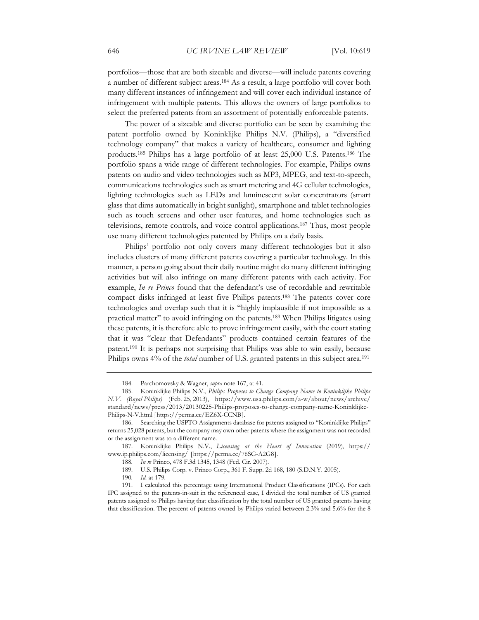portfolios—those that are both sizeable and diverse—will include patents covering a number of different subject areas.184 As a result, a large portfolio will cover both many different instances of infringement and will cover each individual instance of infringement with multiple patents. This allows the owners of large portfolios to select the preferred patents from an assortment of potentially enforceable patents.

The power of a sizeable and diverse portfolio can be seen by examining the patent portfolio owned by Koninklijke Philips N.V. (Philips), a "diversified technology company" that makes a variety of healthcare, consumer and lighting products.185 Philips has a large portfolio of at least 25,000 U.S. Patents.186 The portfolio spans a wide range of different technologies. For example, Philips owns patents on audio and video technologies such as MP3, MPEG, and text-to-speech, communications technologies such as smart metering and 4G cellular technologies, lighting technologies such as LEDs and luminescent solar concentrators (smart glass that dims automatically in bright sunlight), smartphone and tablet technologies such as touch screens and other user features, and home technologies such as televisions, remote controls, and voice control applications.187 Thus, most people use many different technologies patented by Philips on a daily basis.

Philips' portfolio not only covers many different technologies but it also includes clusters of many different patents covering a particular technology. In this manner, a person going about their daily routine might do many different infringing activities but will also infringe on many different patents with each activity. For example, *In re Princo* found that the defendant's use of recordable and rewritable compact disks infringed at least five Philips patents.188 The patents cover core technologies and overlap such that it is "highly implausible if not impossible as a practical matter" to avoid infringing on the patents.189 When Philips litigates using these patents, it is therefore able to prove infringement easily, with the court stating that it was "clear that Defendants" products contained certain features of the patent.190 It is perhaps not surprising that Philips was able to win easily, because Philips owns 4% of the *total* number of U.S. granted patents in this subject area.<sup>191</sup>

<sup>184.</sup> Parchomovsky & Wagner, *supra* note 167, at 41.

<sup>185.</sup> Koninklijke Philips N.V., *Philips Proposes to Change Company Name to Koninklijke Philips N.V. (Royal Philips)* (Feb. 25, 2013), https://www.usa.philips.com/a-w/about/news/archive/ standard/news/press/2013/20130225-Philips-proposes-to-change-company-name-Koninklijke-Philips-N-V.html [https://perma.cc/EZ6X-CCNB].

<sup>186.</sup> Searching the USPTO Assignments database for patents assigned to "Koninklijke Philips" returns 25,028 patents, but the company may own other patents where the assignment was not recorded or the assignment was to a different name.

<sup>187.</sup> Koninklijke Philips N.V., *Licensing at the Heart of Innovation* (2019), https:// www.ip.philips.com/licensing/ [https://perma.cc/76SG-A2G8].

<sup>188</sup>*. In re* Princo, 478 F.3d 1345, 1348 (Fed. Cir. 2007).

<sup>189.</sup> U.S. Philips Corp. v. Princo Corp., 361 F. Supp. 2d 168, 180 (S.D.N.Y. 2005).

<sup>190</sup>*. Id.* at 179.

<sup>191.</sup> I calculated this percentage using International Product Classifications (IPCs). For each IPC assigned to the patents-in-suit in the referenced case, I divided the total number of US granted patents assigned to Philips having that classification by the total number of US granted patents having that classification. The percent of patents owned by Philips varied between 2.3% and 5.6% for the 8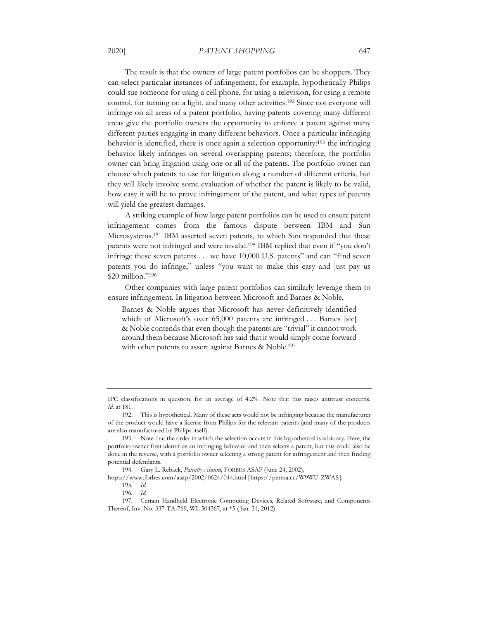#### 2020] *PATENT SHOPPING* 647

The result is that the owners of large patent portfolios can be shoppers. They can select particular instances of infringement; for example, hypothetically Philips could sue someone for using a cell phone, for using a television, for using a remote control, for turning on a light, and many other activities.192 Since not everyone will infringe on all areas of a patent portfolio, having patents covering many different areas give the portfolio owners the opportunity to enforce a patent against many different parties engaging in many different behaviors. Once a particular infringing behavior is identified, there is once again a selection opportunity:193 the infringing behavior likely infringes on several overlapping patents; therefore, the portfolio owner can bring litigation using one or all of the patents. The portfolio owner can choose which patents to use for litigation along a number of different criteria, but they will likely involve some evaluation of whether the patent is likely to be valid, how easy it will be to prove infringement of the patent, and what types of patents will yield the greatest damages.

A striking example of how large patent portfolios can be used to ensure patent infringement comes from the famous dispute between IBM and Sun Microsystems.194 IBM asserted seven patents, to which Sun responded that these patents were not infringed and were invalid.195 IBM replied that even if "you don't infringe these seven patents . . . we have 10,000 U.S. patents" and can "find seven patents you do infringe," unless "you want to make this easy and just pay us \$20 million."196

Other companies with large patent portfolios can similarly leverage them to ensure infringement. In litigation between Microsoft and Barnes & Noble,

Barnes & Noble argues that Microsoft has never definitively identified which of Microsoft's over 65,000 patents are infringed . . . Bames [sic] & Noble contends that even though the patents are "trivial" it cannot work around them because Microsoft has said that it would simply come forward with other patents to assert against Barnes & Noble.<sup>197</sup>

https://www.forbes.com/asap/2002/0624/044.html [https://perma.cc/W9WU-ZWAS].

IPC classifications in question, for an average of 4.2%. Note that this raises antitrust concerns. *Id.* at 181.

<sup>192.</sup> This is hypothetical. Many of these acts would not be infringing because the manufacturer of the product would have a license from Philips for the relevant patents (and many of the products are also manufactured by Philips itself).

<sup>193.</sup> Note that the order in which the selection occurs in this hypothetical is arbitrary. Here, the portfolio owner first identifies an infringing behavior and then selects a patent, but this could also be done in the reverse, with a portfolio owner selecting a strong patent for infringement and then finding potential defendants.

<sup>194.</sup> Gary L. Reback, *Patently Absurd*, FORBES ASAP (June 24, 2002),

<sup>195</sup>*. Id.*

<sup>196</sup>*. Id.*

<sup>197.</sup> Certain Handheld Electronic Computing Devices, Related Software, and Components Thereof, Inv. No. 337-TA-769, WL 504367, at \*5 ( Jan. 31, 2012).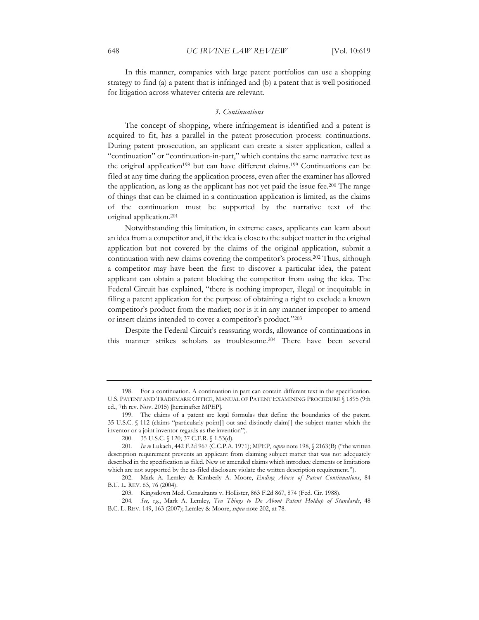In this manner, companies with large patent portfolios can use a shopping strategy to find (a) a patent that is infringed and (b) a patent that is well positioned for litigation across whatever criteria are relevant.

#### *3. Continuations*

The concept of shopping, where infringement is identified and a patent is acquired to fit, has a parallel in the patent prosecution process: continuations. During patent prosecution, an applicant can create a sister application, called a "continuation" or "continuation-in-part," which contains the same narrative text as the original application<sup>198</sup> but can have different claims.<sup>199</sup> Continuations can be filed at any time during the application process, even after the examiner has allowed the application, as long as the applicant has not yet paid the issue fee.200 The range of things that can be claimed in a continuation application is limited, as the claims of the continuation must be supported by the narrative text of the original application.201

Notwithstanding this limitation, in extreme cases, applicants can learn about an idea from a competitor and, if the idea is close to the subject matter in the original application but not covered by the claims of the original application, submit a continuation with new claims covering the competitor's process.202 Thus, although a competitor may have been the first to discover a particular idea, the patent applicant can obtain a patent blocking the competitor from using the idea. The Federal Circuit has explained, "there is nothing improper, illegal or inequitable in filing a patent application for the purpose of obtaining a right to exclude a known competitor's product from the market; nor is it in any manner improper to amend or insert claims intended to cover a competitor's product."203

Despite the Federal Circuit's reassuring words, allowance of continuations in this manner strikes scholars as troublesome.204 There have been several

<sup>198.</sup> For a continuation. A continuation in part can contain different text in the specification. U.S. PATENT AND TRADEMARK OFFICE, MANUAL OF PATENT EXAMINING PROCEDURE § 1895 (9th ed., 7th rev. Nov. 2015) [hereinafter MPEP].

<sup>199.</sup> The claims of a patent are legal formulas that define the boundaries of the patent. 35 U.S.C. § 112 (claims "particularly point[] out and distinctly claim[] the subject matter which the inventor or a joint inventor regards as the invention").

<sup>200. 35</sup> U.S.C. § 120; 37 C.F.R. § 1.53(d).

<sup>201</sup>*. In re* Lukach, 442 F.2d 967 (C.C.P.A. 1971); MPEP, *supra* note 198, § 2163(B) ("the written description requirement prevents an applicant from claiming subject matter that was not adequately described in the specification as filed. New or amended claims which introduce elements or limitations which are not supported by the as-filed disclosure violate the written description requirement.").

<sup>202.</sup> Mark A. Lemley & Kimberly A. Moore, *Ending Abuse of Patent Continuations*, 84 B.U. L. REV. 63, 76 (2004).

<sup>203.</sup> Kingsdown Med. Consultants v. Hollister, 863 F.2d 867, 874 (Fed. Cir. 1988).

<sup>204</sup>*. See, e.g.*, Mark A. Lemley, *Ten Things to Do About Patent Holdup of Standards*, 48 B.C. L. REV. 149, 163 (2007); Lemley & Moore, *supra* note 202, at 78.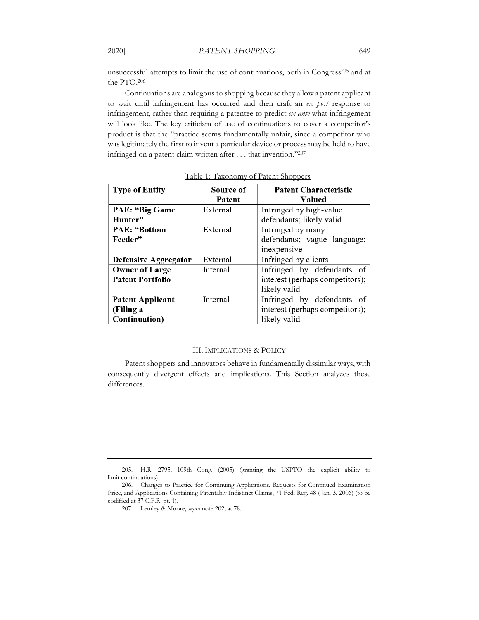unsuccessful attempts to limit the use of continuations, both in Congress<sup>205</sup> and at the PTO.206

Continuations are analogous to shopping because they allow a patent applicant to wait until infringement has occurred and then craft an *ex post* response to infringement, rather than requiring a patentee to predict *ex ante* what infringement will look like. The key criticism of use of continuations to cover a competitor's product is that the "practice seems fundamentally unfair, since a competitor who was legitimately the first to invent a particular device or process may be held to have infringed on a patent claim written after . . . that invention."207

| <b>Type of Entity</b>       | Source of | <b>Patent Characteristic</b>    |
|-----------------------------|-----------|---------------------------------|
|                             | Patent    | Valued                          |
| <b>PAE: "Big Game</b>       | External  | Infringed by high-value         |
| Hunter"                     |           | defendants; likely valid        |
| <b>PAE</b> : "Bottom        | External  | Infringed by many               |
| Feeder"                     |           | defendants; vague language;     |
|                             |           | inexpensive                     |
| <b>Defensive Aggregator</b> | External  | Infringed by clients            |
| <b>Owner of Large</b>       | Internal  | Infringed by defendants of      |
| <b>Patent Portfolio</b>     |           | interest (perhaps competitors); |
|                             |           | likely valid                    |
| <b>Patent Applicant</b>     | Internal  | Infringed by defendants of      |
| (Filing a                   |           | interest (perhaps competitors); |
| Continuation)               |           | likely valid                    |

Table 1: Taxonomy of Patent Shoppers

#### III. IMPLICATIONS & POLICY

Patent shoppers and innovators behave in fundamentally dissimilar ways, with consequently divergent effects and implications. This Section analyzes these differences.

<sup>205.</sup> H.R. 2795, 109th Cong. (2005) (granting the USPTO the explicit ability to limit continuations).

<sup>206.</sup> Changes to Practice for Continuing Applications, Requests for Continued Examination Price, and Applications Containing Patentably Indistinct Claims, 71 Fed. Reg. 48 ( Jan. 3, 2006) (to be codified at 37 C.F.R. pt. 1).

<sup>207.</sup> Lemley & Moore, *supra* note 202, at 78.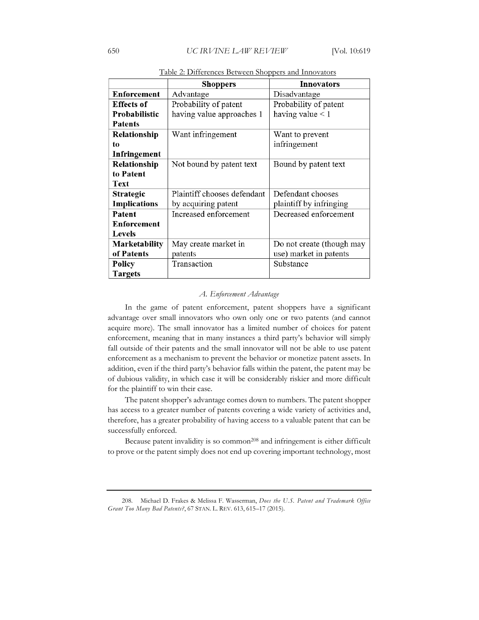|                     | <b>Shoppers</b>             | <b>Innovators</b>         |
|---------------------|-----------------------------|---------------------------|
| Enforcement         | Advantage                   | Disadvantage              |
| <b>Effects of</b>   | Probability of patent       | Probability of patent     |
| Probabilistic       | having value approaches 1   | having value $<$ 1        |
| <b>Patents</b>      |                             |                           |
| Relationship        | Want infringement           | Want to prevent           |
| to                  |                             | infringement              |
| Infringement        |                             |                           |
| Relationship        | Not bound by patent text    | Bound by patent text      |
| to Patent           |                             |                           |
| Text                |                             |                           |
| <b>Strategic</b>    | Plaintiff chooses defendant | Defendant chooses         |
| <b>Implications</b> | by acquiring patent         | plaintiff by infringing   |
| Patent              | Increased enforcement       | Decreased enforcement     |
| <b>Enforcement</b>  |                             |                           |
| <b>Levels</b>       |                             |                           |
| Marketability       | May create market in        | Do not create (though may |
| of Patents          | patents                     | use) market in patents    |
| Policy              | Transaction                 | Substance                 |
| <b>Targets</b>      |                             |                           |

Table 2: Differences Between Shoppers and Innovators

#### *A. Enforcement Advantage*

In the game of patent enforcement, patent shoppers have a significant advantage over small innovators who own only one or two patents (and cannot acquire more). The small innovator has a limited number of choices for patent enforcement, meaning that in many instances a third party's behavior will simply fall outside of their patents and the small innovator will not be able to use patent enforcement as a mechanism to prevent the behavior or monetize patent assets. In addition, even if the third party's behavior falls within the patent, the patent may be of dubious validity, in which case it will be considerably riskier and more difficult for the plaintiff to win their case.

The patent shopper's advantage comes down to numbers. The patent shopper has access to a greater number of patents covering a wide variety of activities and, therefore, has a greater probability of having access to a valuable patent that can be successfully enforced.

Because patent invalidity is so common<sup>208</sup> and infringement is either difficult to prove or the patent simply does not end up covering important technology, most

208. Michael D. Frakes & Melissa F. Wasserman, *Does the U.S. Patent and Trademark Office Grant Too Many Bad Patents?*, 67 STAN. L. REV. 613, 615–17 (2015).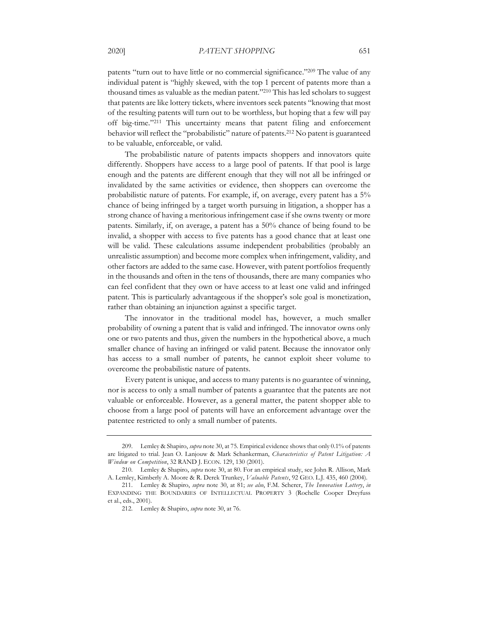patents "turn out to have little or no commercial significance."209 The value of any individual patent is "highly skewed, with the top 1 percent of patents more than a thousand times as valuable as the median patent."210 This has led scholars to suggest that patents are like lottery tickets, where inventors seek patents "knowing that most of the resulting patents will turn out to be worthless, but hoping that a few will pay off big-time."211 This uncertainty means that patent filing and enforcement behavior will reflect the "probabilistic" nature of patents.212 No patent is guaranteed to be valuable, enforceable, or valid.

The probabilistic nature of patents impacts shoppers and innovators quite differently. Shoppers have access to a large pool of patents. If that pool is large enough and the patents are different enough that they will not all be infringed or invalidated by the same activities or evidence, then shoppers can overcome the probabilistic nature of patents. For example, if, on average, every patent has a 5% chance of being infringed by a target worth pursuing in litigation, a shopper has a strong chance of having a meritorious infringement case if she owns twenty or more patents. Similarly, if, on average, a patent has a 50% chance of being found to be invalid, a shopper with access to five patents has a good chance that at least one will be valid. These calculations assume independent probabilities (probably an unrealistic assumption) and become more complex when infringement, validity, and other factors are added to the same case. However, with patent portfolios frequently in the thousands and often in the tens of thousands, there are many companies who can feel confident that they own or have access to at least one valid and infringed patent. This is particularly advantageous if the shopper's sole goal is monetization, rather than obtaining an injunction against a specific target.

The innovator in the traditional model has, however, a much smaller probability of owning a patent that is valid and infringed. The innovator owns only one or two patents and thus, given the numbers in the hypothetical above, a much smaller chance of having an infringed or valid patent. Because the innovator only has access to a small number of patents, he cannot exploit sheer volume to overcome the probabilistic nature of patents.

Every patent is unique, and access to many patents is no guarantee of winning, nor is access to only a small number of patents a guarantee that the patents are not valuable or enforceable. However, as a general matter, the patent shopper able to choose from a large pool of patents will have an enforcement advantage over the patentee restricted to only a small number of patents.

<sup>209.</sup> Lemley & Shapiro, *supra* note 30, at 75. Empirical evidence shows that only 0.1% of patents are litigated to trial. Jean O. Lanjouw & Mark Schankerman, *Characteristics of Patent Litigation: A Window on Competition*, 32 RAND J. ECON. 129, 130 (2001).

<sup>210.</sup> Lemley & Shapiro, *supra* note 30, at 80. For an empirical study, see John R. Allison, Mark A. Lemley, Kimberly A. Moore & R. Derek Trunkey, *Valuable Patents*, 92 GEO. L.J. 435, 460 (2004).

<sup>211.</sup> Lemley & Shapiro, *supra* note 30, at 81; *see also*, F.M. Scherer, *The Innovation Lottery*, *in* EXPANDING THE BOUNDARIES OF INTELLECTUAL PROPERTY 3 (Rochelle Cooper Dreyfuss et al., eds., 2001).

<sup>212.</sup> Lemley & Shapiro, *supra* note 30, at 76.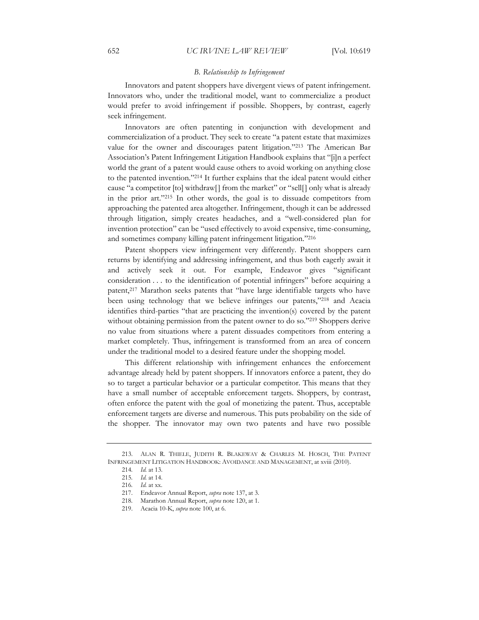#### *B. Relationship to Infringement*

Innovators and patent shoppers have divergent views of patent infringement. Innovators who, under the traditional model, want to commercialize a product would prefer to avoid infringement if possible. Shoppers, by contrast, eagerly seek infringement.

Innovators are often patenting in conjunction with development and commercialization of a product. They seek to create "a patent estate that maximizes value for the owner and discourages patent litigation."213 The American Bar Association's Patent Infringement Litigation Handbook explains that "[i]n a perfect world the grant of a patent would cause others to avoid working on anything close to the patented invention."214 It further explains that the ideal patent would either cause "a competitor [to] withdraw[] from the market" or "sell[] only what is already in the prior art."215 In other words, the goal is to dissuade competitors from approaching the patented area altogether. Infringement, though it can be addressed through litigation, simply creates headaches, and a "well-considered plan for invention protection" can be "used effectively to avoid expensive, time-consuming, and sometimes company killing patent infringement litigation."216

Patent shoppers view infringement very differently. Patent shoppers earn returns by identifying and addressing infringement, and thus both eagerly await it and actively seek it out. For example, Endeavor gives "significant consideration . . . to the identification of potential infringers" before acquiring a patent,217 Marathon seeks patents that "have large identifiable targets who have been using technology that we believe infringes our patents,"218 and Acacia identifies third-parties "that are practicing the invention(s) covered by the patent without obtaining permission from the patent owner to do so."<sup>219</sup> Shoppers derive no value from situations where a patent dissuades competitors from entering a market completely. Thus, infringement is transformed from an area of concern under the traditional model to a desired feature under the shopping model.

This different relationship with infringement enhances the enforcement advantage already held by patent shoppers. If innovators enforce a patent, they do so to target a particular behavior or a particular competitor. This means that they have a small number of acceptable enforcement targets. Shoppers, by contrast, often enforce the patent with the goal of monetizing the patent. Thus, acceptable enforcement targets are diverse and numerous. This puts probability on the side of the shopper. The innovator may own two patents and have two possible

<sup>213.</sup> ALAN R. THIELE, JUDITH R. BLAKEWAY & CHARLES M. HOSCH, THE PATENT INFRINGEMENT LITIGATION HANDBOOK: AVOIDANCE AND MANAGEMENT, at xviii (2010).

<sup>214</sup>*. Id.* at 13.

<sup>215</sup>*. Id.* at 14.

<sup>216</sup>*. Id.* at xx.

<sup>217.</sup> Endeavor Annual Report, *supra* note 137, at 3.

<sup>218.</sup> Marathon Annual Report, *supra* note 120, at 1.

<sup>219.</sup> Acacia 10-K, *supra* note 100, at 6.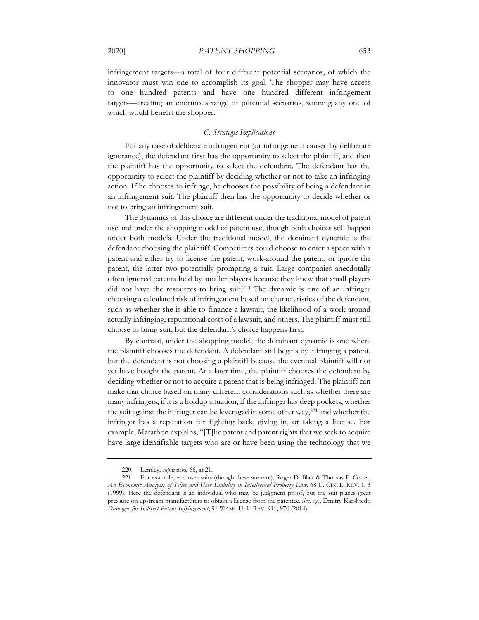infringement targets—a total of four different potential scenarios, of which the innovator must win one to accomplish its goal. The shopper may have access to one hundred patents and have one hundred different infringement targets—creating an enormous range of potential scenarios, winning any one of which would benefit the shopper.

### *C. Strategic Implications*

For any case of deliberate infringement (or infringement caused by deliberate ignorance), the defendant first has the opportunity to select the plaintiff, and then the plaintiff has the opportunity to select the defendant. The defendant has the opportunity to select the plaintiff by deciding whether or not to take an infringing action. If he chooses to infringe, he chooses the possibility of being a defendant in an infringement suit. The plaintiff then has the opportunity to decide whether or not to bring an infringement suit.

The dynamics of this choice are different under the traditional model of patent use and under the shopping model of patent use, though both choices still happen under both models. Under the traditional model, the dominant dynamic is the defendant choosing the plaintiff. Competitors could choose to enter a space with a patent and either try to license the patent, work-around the patent, or ignore the patent, the latter two potentially prompting a suit. Large companies anecdotally often ignored patents held by smaller players because they knew that small players did not have the resources to bring suit.220 The dynamic is one of an infringer choosing a calculated risk of infringement based on characteristics of the defendant, such as whether she is able to finance a lawsuit, the likelihood of a work-around actually infringing, reputational costs of a lawsuit, and others. The plaintiff must still choose to bring suit, but the defendant's choice happens first.

By contrast, under the shopping model, the dominant dynamic is one where the plaintiff chooses the defendant. A defendant still begins by infringing a patent, but the defendant is not choosing a plaintiff because the eventual plaintiff will not yet have bought the patent. At a later time, the plaintiff chooses the defendant by deciding whether or not to acquire a patent that is being infringed. The plaintiff can make that choice based on many different considerations such as whether there are many infringers, if it is a holdup situation, if the infringer has deep pockets, whether the suit against the infringer can be leveraged in some other way,221 and whether the infringer has a reputation for fighting back, giving in, or taking a license. For example, Marathon explains, "[T]he patent and patent rights that we seek to acquire have large identifiable targets who are or have been using the technology that we

<sup>220.</sup> Lemley, *supra* note 66, at 21.

<sup>221.</sup> For example, end user suits (though these are rare). Roger D. Blair & Thomas F. Cotter, *An Economic Analysis of Seller and User Liability in Intellectual Property Law*, 68 U. CIN. L. REV. 1, 3 (1999). Here the defendant is an individual who may be judgment proof, but the suit places great pressure on upstream manufacturers to obtain a license from the patentee. *See, e.g.*, Dmitry Karshtedt, *Damages for Indirect Patent Infringement*, 91 WASH. U. L. REV. 911, 970 (2014).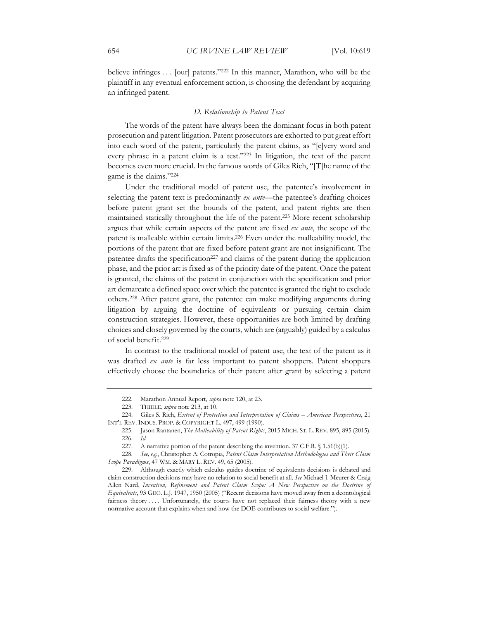believe infringes . . . [our] patents."222 In this manner, Marathon, who will be the plaintiff in any eventual enforcement action, is choosing the defendant by acquiring an infringed patent.

# *D. Relationship to Patent Text*

The words of the patent have always been the dominant focus in both patent prosecution and patent litigation. Patent prosecutors are exhorted to put great effort into each word of the patent, particularly the patent claims, as "[e]very word and every phrase in a patent claim is a test."223 In litigation, the text of the patent becomes even more crucial. In the famous words of Giles Rich, "[T]he name of the game is the claims."224

Under the traditional model of patent use, the patentee's involvement in selecting the patent text is predominantly *ex ante*—the patentee's drafting choices before patent grant set the bounds of the patent, and patent rights are then maintained statically throughout the life of the patent.225 More recent scholarship argues that while certain aspects of the patent are fixed *ex ante*, the scope of the patent is malleable within certain limits.226 Even under the malleability model, the portions of the patent that are fixed before patent grant are not insignificant. The patentee drafts the specification<sup>227</sup> and claims of the patent during the application phase, and the prior art is fixed as of the priority date of the patent. Once the patent is granted, the claims of the patent in conjunction with the specification and prior art demarcate a defined space over which the patentee is granted the right to exclude others.228 After patent grant, the patentee can make modifying arguments during litigation by arguing the doctrine of equivalents or pursuing certain claim construction strategies. However, these opportunities are both limited by drafting choices and closely governed by the courts, which are (arguably) guided by a calculus of social benefit.229

In contrast to the traditional model of patent use, the text of the patent as it was drafted *ex ante* is far less important to patent shoppers. Patent shoppers effectively choose the boundaries of their patent after grant by selecting a patent

<sup>222.</sup> Marathon Annual Report, *supra* note 120, at 23.

<sup>223.</sup> THIELE, *supra* note 213, at 10.

<sup>224.</sup> Giles S. Rich, *Extent of Protection and Interpretation of Claims – American Perspectives*, 21 INT'L REV. INDUS. PROP. & COPYRIGHT L. 497, 499 (1990).

<sup>225.</sup> Jason Rantanen, *The Malleability of Patent Rights*, 2015 MICH. ST. L. REV. 895, 895 (2015). 226*. Id.*

<sup>227.</sup> A narrative portion of the patent describing the invention.  $37$  C.F.R. § 1.51(b)(1).

<sup>228</sup>*. See, e.g.*, Christopher A. Cotropia, *Patent Claim Interpretation Methodologies and Their Claim Scope Paradigms*, 47 WM. & MARY L. REV. 49, 65 (2005).

<sup>229.</sup> Although exactly which calculus guides doctrine of equivalents decisions is debated and claim construction decisions may have no relation to social benefit at all. *See* Michael J. Meurer & Craig Allen Nard, *Invention, Refinement and Patent Claim Scope: A New Perspective on the Doctrine of Equivalents*, 93 GEO. L.J. 1947, 1950 (2005) ("Recent decisions have moved away from a deontological fairness theory .... Unfortunately, the courts have not replaced their fairness theory with a new normative account that explains when and how the DOE contributes to social welfare.").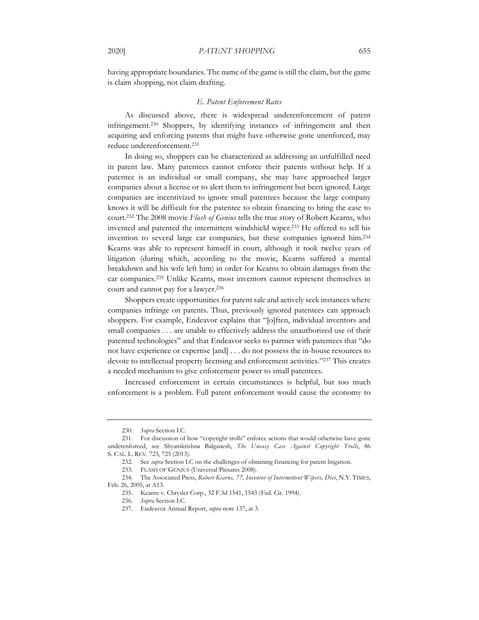having appropriate boundaries. The name of the game is still the claim, but the game is claim shopping, not claim drafting.

#### *E. Patent Enforcement Rates*

As discussed above, there is widespread underenforcement of patent infringement.230 Shoppers, by identifying instances of infringement and then acquiring and enforcing patents that might have otherwise gone unenforced, may reduce underenforcement.231

In doing so, shoppers can be characterized as addressing an unfulfilled need in patent law. Many patentees cannot enforce their patents without help. If a patentee is an individual or small company, she may have approached larger companies about a license or to alert them to infringement but been ignored. Large companies are incentivized to ignore small patentees because the large company knows it will be difficult for the patentee to obtain financing to bring the case to court.232 The 2008 movie *Flash of Genius* tells the true story of Robert Kearns, who invented and patented the intermittent windshield wiper.233 He offered to sell his invention to several large car companies, but these companies ignored him.234 Kearns was able to represent himself in court, although it took twelve years of litigation (during which, according to the movie, Kearns suffered a mental breakdown and his wife left him) in order for Kearns to obtain damages from the car companies.235 Unlike Kearns, most inventors cannot represent themselves in court and cannot pay for a lawyer.236

Shoppers create opportunities for patent sale and actively seek instances where companies infringe on patents. Thus, previously ignored patentees can approach shoppers. For example, Endeavor explains that "[o]ften, individual inventors and small companies . . . are unable to effectively address the unauthorized use of their patented technologies" and that Endeavor seeks to partner with patentees that "do not have experience or expertise [and] . . . do not possess the in-house resources to devote to intellectual property licensing and enforcement activities."237 This creates a needed mechanism to give enforcement power to small patentees.

Increased enforcement in certain circumstances is helpful, but too much enforcement is a problem. Full patent enforcement would cause the economy to

<sup>230</sup>*. Supra* Section I.C.

<sup>231.</sup> For discussion of how "copyright trolls" enforce actions that would otherwise have gone underenforced, see Shyamkrishna Balganesh, *The Uneasy Case Against Copyright Trolls*, 86 S. CAL. L. REV. 723, 725 (2013).

<sup>232</sup>*.* See *supra* Section I.C on the challenges of obtaining financing for patent litigation.

<sup>233.</sup> FLASH OF GENIUS (Universal Pictures 2008).

<sup>234.</sup> The Associated Press, *Robert Kearns, 77, Inventor of Intermittent Wipers, Dies*, N.Y. TIMES, Feb. 26, 2005, at A13.

<sup>235.</sup> Kearns v. Chrysler Corp., 32 F.3d 1541, 1543 (Fed. Cir. 1994).

<sup>236</sup>*. Supra* Section I.C.

<sup>237.</sup> Endeavor Annual Report, *supra* note 137, at 3.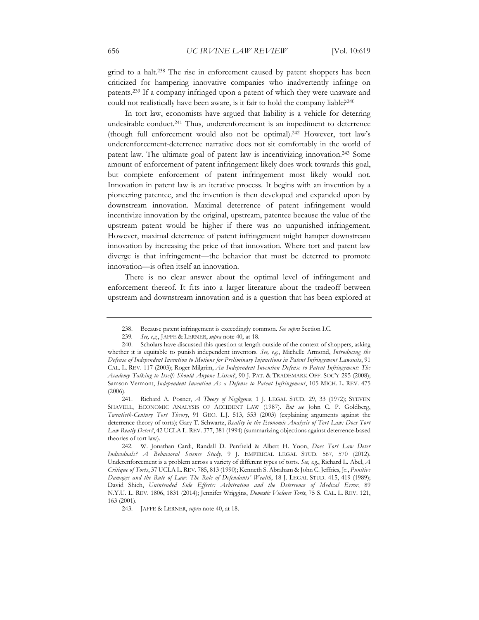grind to a halt.238 The rise in enforcement caused by patent shoppers has been criticized for hampering innovative companies who inadvertently infringe on patents.239 If a company infringed upon a patent of which they were unaware and could not realistically have been aware, is it fair to hold the company liable?<sup>240</sup>

In tort law, economists have argued that liability is a vehicle for deterring undesirable conduct.241 Thus, underenforcement is an impediment to deterrence (though full enforcement would also not be optimal).242 However, tort law's underenforcement-deterrence narrative does not sit comfortably in the world of patent law. The ultimate goal of patent law is incentivizing innovation.243 Some amount of enforcement of patent infringement likely does work towards this goal, but complete enforcement of patent infringement most likely would not. Innovation in patent law is an iterative process. It begins with an invention by a pioneering patentee, and the invention is then developed and expanded upon by downstream innovation. Maximal deterrence of patent infringement would incentivize innovation by the original, upstream, patentee because the value of the upstream patent would be higher if there was no unpunished infringement. However, maximal deterrence of patent infringement might hamper downstream innovation by increasing the price of that innovation. Where tort and patent law diverge is that infringement—the behavior that must be deterred to promote innovation—is often itself an innovation.

There is no clear answer about the optimal level of infringement and enforcement thereof. It fits into a larger literature about the tradeoff between upstream and downstream innovation and is a question that has been explored at

<sup>238.</sup> Because patent infringement is exceedingly common. *See supra* Section I.C.

<sup>239</sup>*. See, e.g.*, JAFFE & LERNER, *supra* note 40, at 18.

<sup>240.</sup> Scholars have discussed this question at length outside of the context of shoppers, asking whether it is equitable to punish independent inventors. *See, e.g.*, Michelle Armond, *Introducing the Defense of Independent Invention to Motions for Preliminary Injunctions in Patent Infringement Lawsuits*, 91 CAL. L. REV. 117 (2003); Roger Milgrim, *An Independent Invention Defense to Patent Infringement: The Academy Talking to Itself: Should Anyone Listen?*, 90 J. PAT. & TRADEMARK OFF. SOC'Y 295 (2008); Samson Vermont, *Independent Invention As a Defense to Patent Infringement*, 105 MICH. L. REV. 475 (2006).

<sup>241.</sup> Richard A. Posner, *A Theory of Negligence*, 1 J. LEGAL STUD. 29, 33 (1972); STEVEN SHAVELL, ECONOMIC ANALYSIS OF ACCIDENT LAW (1987). *But see* John C. P. Goldberg, *Twentieth-Century Tort Theory*, 91 GEO. L.J. 513, 553 (2003) (explaining arguments against the deterrence theory of torts); Gary T. Schwartz, *Reality in the Economic Analysis of Tort Law: Does Tort Law Really Deter?*, 42 UCLA L. REV. 377, 381 (1994) (summarizing objections against deterrence-based theories of tort law).

<sup>242.</sup> W. Jonathan Cardi, Randall D. Penfield & Albert H. Yoon, *Does Tort Law Deter Individuals? A Behavioral Science Study*, 9 J. EMPIRICAL LEGAL STUD. 567, 570 (2012). Underenforcement is a problem across a variety of different types of torts. *See, e.g.*, Richard L. Abel, *A Critique of Torts*, 37 UCLA L. REV. 785, 813 (1990); Kenneth S. Abraham & John C. Jeffries, Jr., *Punitive Damages and the Rule of Law: The Role of Defendants' Wealth*, 18 J. LEGAL STUD. 415, 419 (1989); David Shieh, *Unintended Side Effects: Arbitration and the Deterrence of Medical Error*, 89 N.Y.U. L. REV. 1806, 1831 (2014); Jennifer Wriggins, *Domestic Violence Torts*, 75 S. CAL. L. REV. 121, 163 (2001).

<sup>243.</sup> JAFFE & LERNER, *supra* note 40, at 18.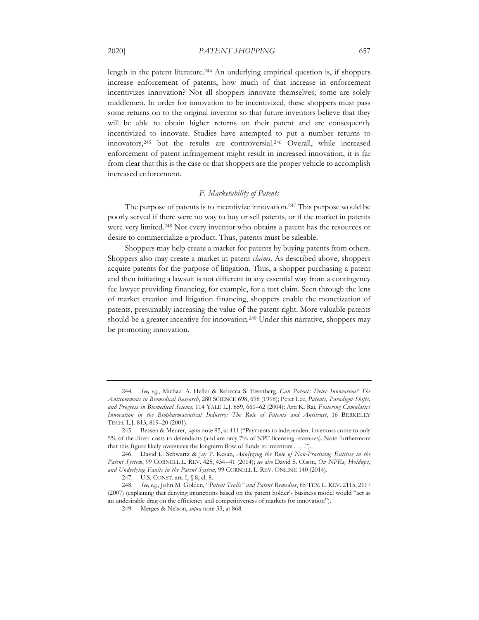increased enforcement.

length in the patent literature.244 An underlying empirical question is, if shoppers increase enforcement of patents, how much of that increase in enforcement incentivizes innovation? Not all shoppers innovate themselves; some are solely middlemen. In order for innovation to be incentivized, these shoppers must pass some returns on to the original inventor so that future inventors believe that they will be able to obtain higher returns on their patent and are consequently incentivized to innovate. Studies have attempted to put a number returns to innovators,245 but the results are controversial.246 Overall, while increased enforcement of patent infringement might result in increased innovation, it is far

#### *F. Marketability of Patents*

from clear that this is the case or that shoppers are the proper vehicle to accomplish

The purpose of patents is to incentivize innovation.<sup>247</sup> This purpose would be poorly served if there were no way to buy or sell patents, or if the market in patents were very limited.248 Not every inventor who obtains a patent has the resources or desire to commercialize a product. Thus, patents must be saleable.

Shoppers may help create a market for patents by buying patents from others. Shoppers also may create a market in patent *claims*. As described above, shoppers acquire patents for the purpose of litigation. Thus, a shopper purchasing a patent and then initiating a lawsuit is not different in any essential way from a contingency fee lawyer providing financing, for example, for a tort claim. Seen through the lens of market creation and litigation financing, shoppers enable the monetization of patents, presumably increasing the value of the patent right. More valuable patents should be a greater incentive for innovation.249 Under this narrative, shoppers may be promoting innovation.

<sup>244</sup>*. See, e.g.*, Michael A. Heller & Rebecca S. Eisenberg, *Can Patents Deter Innovation? The Anticommons in Biomedical Research*, 280 SCIENCE 698, 698 (1998); Peter Lee, *Patents, Paradigm Shifts, and Progress in Biomedical Science*, 114 YALE L.J. 659, 661–62 (2004); Arti K. Rai, *Fostering Cumulative Innovation in the Biopharmaceutical Industry: The Role of Patents and Antitrust*, 16 BERKELEY TECH. L.J. 813, 819–20 (2001).

<sup>245.</sup> Bessen & Meurer, *supra* note 95, at 411 ("Payments to independent inventors come to only 5% of the direct costs to defendants (and are only 7% of NPE licensing revenues). Note furthermore that this figure likely overstates the longterm flow of funds to inventors . . . .").

<sup>246.</sup> David L. Schwartz & Jay P. Kesan, *Analyzing the Role of Non-Practicing Entities in the Patent System*, 99 CORNELL L. REV. 425, 434–41 (2014); *see also* David S. Olson, *On NPEs, Holdups, and Underlying Faults in the Patent System*, 99 CORNELL L. REV. ONLINE 140 (2014).

<sup>247.</sup> U.S. CONST. art. I, § 8, cl. 8.

<sup>248</sup>*. See, e.g.*, John M. Golden, "*Patent Trolls" and Patent Remedies*, 85 TEX. L. REV. 2115, 2117 (2007) (explaining that denying injunctions based on the patent holder's business model would "act as an undesirable drag on the efficiency and competitiveness of markets for innovation").

<sup>249.</sup> Merges & Nelson, *supra* note 33, at 868.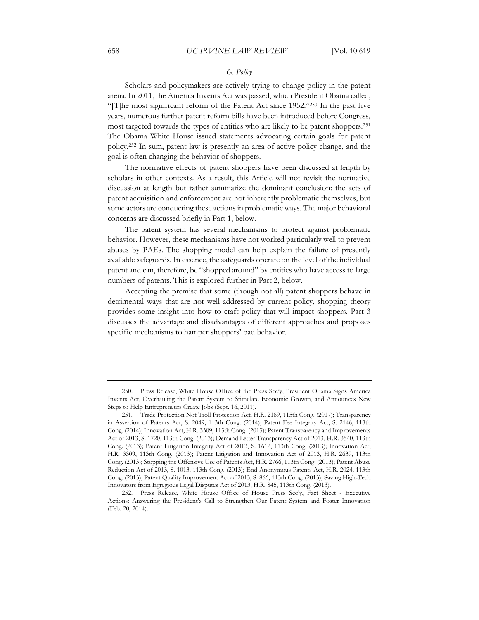### *G. Policy*

Scholars and policymakers are actively trying to change policy in the patent arena. In 2011, the America Invents Act was passed, which President Obama called, "[T]he most significant reform of the Patent Act since 1952."250 In the past five years, numerous further patent reform bills have been introduced before Congress, most targeted towards the types of entities who are likely to be patent shoppers.251 The Obama White House issued statements advocating certain goals for patent policy.252 In sum, patent law is presently an area of active policy change, and the goal is often changing the behavior of shoppers.

The normative effects of patent shoppers have been discussed at length by scholars in other contexts. As a result, this Article will not revisit the normative discussion at length but rather summarize the dominant conclusion: the acts of patent acquisition and enforcement are not inherently problematic themselves, but some actors are conducting these actions in problematic ways. The major behavioral concerns are discussed briefly in Part 1, below.

The patent system has several mechanisms to protect against problematic behavior. However, these mechanisms have not worked particularly well to prevent abuses by PAEs. The shopping model can help explain the failure of presently available safeguards. In essence, the safeguards operate on the level of the individual patent and can, therefore, be "shopped around" by entities who have access to large numbers of patents. This is explored further in Part 2, below.

Accepting the premise that some (though not all) patent shoppers behave in detrimental ways that are not well addressed by current policy, shopping theory provides some insight into how to craft policy that will impact shoppers. Part 3 discusses the advantage and disadvantages of different approaches and proposes specific mechanisms to hamper shoppers' bad behavior.

<sup>250.</sup> Press Release, White House Office of the Press Sec'y, President Obama Signs America Invents Act, Overhauling the Patent System to Stimulate Economic Growth, and Announces New Steps to Help Entrepreneurs Create Jobs (Sept. 16, 2011).

<sup>251.</sup> Trade Protection Not Troll Protection Act, H.R. 2189, 115th Cong. (2017); Transparency in Assertion of Patents Act, S. 2049, 113th Cong. (2014); Patent Fee Integrity Act, S. 2146, 113th Cong. (2014); Innovation Act, H.R. 3309, 113th Cong. (2013); Patent Transparency and Improvements Act of 2013, S. 1720, 113th Cong. (2013); Demand Letter Transparency Act of 2013, H.R. 3540, 113th Cong. (2013); Patent Litigation Integrity Act of 2013, S. 1612, 113th Cong. (2013); Innovation Act, H.R. 3309, 113th Cong. (2013); Patent Litigation and Innovation Act of 2013, H.R. 2639, 113th Cong. (2013); Stopping the Offensive Use of Patents Act, H.R. 2766, 113th Cong. (2013); Patent Abuse Reduction Act of 2013, S. 1013, 113th Cong. (2013); End Anonymous Patents Act, H.R. 2024, 113th Cong. (2013); Patent Quality Improvement Act of 2013, S. 866, 113th Cong. (2013); Saving High-Tech Innovators from Egregious Legal Disputes Act of 2013, H.R. 845, 113th Cong. (2013).

<sup>252.</sup> Press Release, White House Office of House Press Sec'y, Fact Sheet - Executive Actions: Answering the President's Call to Strengthen Our Patent System and Foster Innovation (Feb. 20, 2014).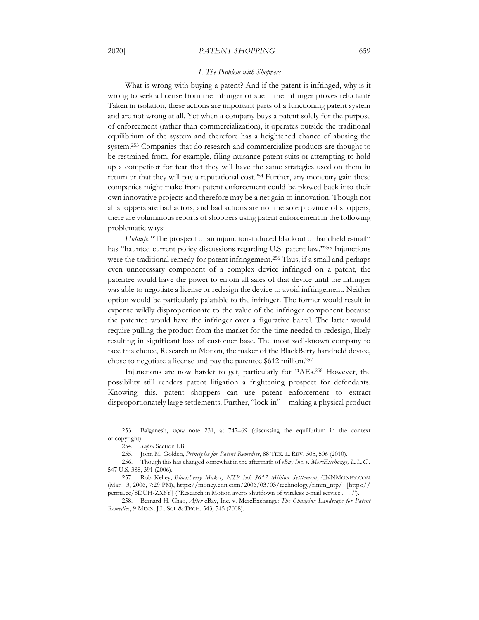#### *1. The Problem with Shoppers*

What is wrong with buying a patent? And if the patent is infringed, why is it wrong to seek a license from the infringer or sue if the infringer proves reluctant? Taken in isolation, these actions are important parts of a functioning patent system and are not wrong at all. Yet when a company buys a patent solely for the purpose of enforcement (rather than commercialization), it operates outside the traditional equilibrium of the system and therefore has a heightened chance of abusing the system.253 Companies that do research and commercialize products are thought to be restrained from, for example, filing nuisance patent suits or attempting to hold up a competitor for fear that they will have the same strategies used on them in return or that they will pay a reputational cost.254 Further, any monetary gain these companies might make from patent enforcement could be plowed back into their own innovative projects and therefore may be a net gain to innovation. Though not all shoppers are bad actors, and bad actions are not the sole province of shoppers, there are voluminous reports of shoppers using patent enforcement in the following problematic ways:

*Holdup*: "The prospect of an injunction-induced blackout of handheld e-mail" has "haunted current policy discussions regarding U.S. patent law."255 Injunctions were the traditional remedy for patent infringement.256 Thus, if a small and perhaps even unnecessary component of a complex device infringed on a patent, the patentee would have the power to enjoin all sales of that device until the infringer was able to negotiate a license or redesign the device to avoid infringement. Neither option would be particularly palatable to the infringer. The former would result in expense wildly disproportionate to the value of the infringer component because the patentee would have the infringer over a figurative barrel. The latter would require pulling the product from the market for the time needed to redesign, likely resulting in significant loss of customer base. The most well-known company to face this choice, Research in Motion, the maker of the BlackBerry handheld device, chose to negotiate a license and pay the patentee \$612 million.257

Injunctions are now harder to get, particularly for PAEs.258 However, the possibility still renders patent litigation a frightening prospect for defendants. Knowing this, patent shoppers can use patent enforcement to extract disproportionately large settlements. Further, "lock-in"—making a physical product

<sup>253.</sup> Balganesh, *supra* note 231, at 747–69 (discussing the equilibrium in the context of copyright).

<sup>254</sup>*. Supra* Section I.B.

<sup>255.</sup> John M. Golden, *Principles for Patent Remedies*, 88 TEX. L. REV. 505, 506 (2010).

<sup>256.</sup> Though this has changed somewhat in the aftermath of *eBay Inc. v. MercExchange, L.L.C.*, 547 U.S. 388, 391 (2006).

<sup>257.</sup> Rob Kelley, *BlackBerry Maker, NTP Ink \$612 Million Settlement*, CNNMONEY.COM (Mar. 3, 2006, 7:29 PM), https://money.cnn.com/2006/03/03/technology/rimm\_ntp/ [https:// perma.cc/8DUH-ZX6Y] ("Research in Motion averts shutdown of wireless e-mail service . . . .").

<sup>258.</sup> Bernard H. Chao, *After* eBay, Inc. v. MercExchange*: The Changing Landscape for Patent Remedies*, 9 MINN. J.L. SCI. & TECH. 543, 545 (2008).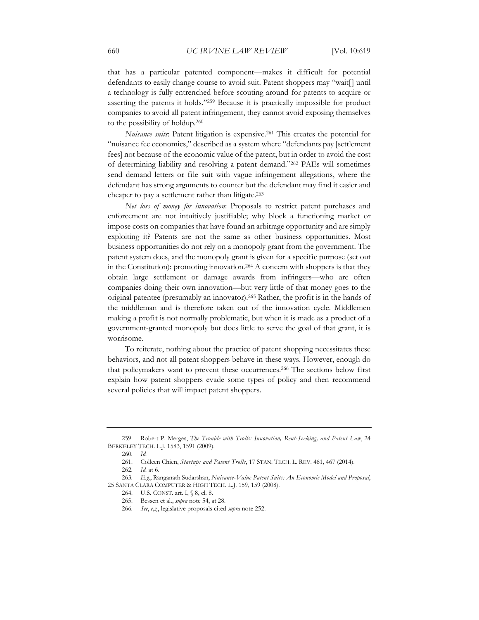that has a particular patented component—makes it difficult for potential defendants to easily change course to avoid suit. Patent shoppers may "wait[] until a technology is fully entrenched before scouting around for patents to acquire or asserting the patents it holds."259 Because it is practically impossible for product companies to avoid all patent infringement, they cannot avoid exposing themselves to the possibility of holdup.260

*Nuisance suits*: Patent litigation is expensive.261 This creates the potential for "nuisance fee economics," described as a system where "defendants pay [settlement fees] not because of the economic value of the patent, but in order to avoid the cost of determining liability and resolving a patent demand."262 PAEs will sometimes send demand letters or file suit with vague infringement allegations, where the defendant has strong arguments to counter but the defendant may find it easier and cheaper to pay a settlement rather than litigate.263

*Net loss of money for innovation*: Proposals to restrict patent purchases and enforcement are not intuitively justifiable; why block a functioning market or impose costs on companies that have found an arbitrage opportunity and are simply exploiting it? Patents are not the same as other business opportunities. Most business opportunities do not rely on a monopoly grant from the government. The patent system does, and the monopoly grant is given for a specific purpose (set out in the Constitution): promoting innovation.<sup>264</sup> A concern with shoppers is that they obtain large settlement or damage awards from infringers—who are often companies doing their own innovation—but very little of that money goes to the original patentee (presumably an innovator).265 Rather, the profit is in the hands of the middleman and is therefore taken out of the innovation cycle. Middlemen making a profit is not normally problematic, but when it is made as a product of a government-granted monopoly but does little to serve the goal of that grant, it is worrisome.

To reiterate, nothing about the practice of patent shopping necessitates these behaviors, and not all patent shoppers behave in these ways. However, enough do that policymakers want to prevent these occurrences.266 The sections below first explain how patent shoppers evade some types of policy and then recommend several policies that will impact patent shoppers.

<sup>259.</sup> Robert P. Merges, *The Trouble with Trolls: Innovation, Rent-Seeking, and Patent Law*, 24 BERKELEY TECH. L.J. 1583, 1591 (2009).

<sup>260</sup>*. Id.*

<sup>261.</sup> Colleen Chien, *Startups and Patent Trolls*, 17 STAN. TECH. L. REV. 461, 467 (2014).

<sup>262</sup>*. Id.* at 6.

<sup>263</sup>*. E.g.*, Ranganath Sudarshan, *Nuisance-Value Patent Suits: An Economic Model and Proposal*, 25 SANTA CLARA COMPUTER & HIGH TECH. L.J. 159, 159 (2008).

<sup>264.</sup> U.S. CONST. art. I,  $\%$ , 8, cl. 8.

<sup>265.</sup> Bessen et al., *supra* note 54, at 28.

<sup>266</sup>*. See*, *e.g.*, legislative proposals cited *supra* note 252.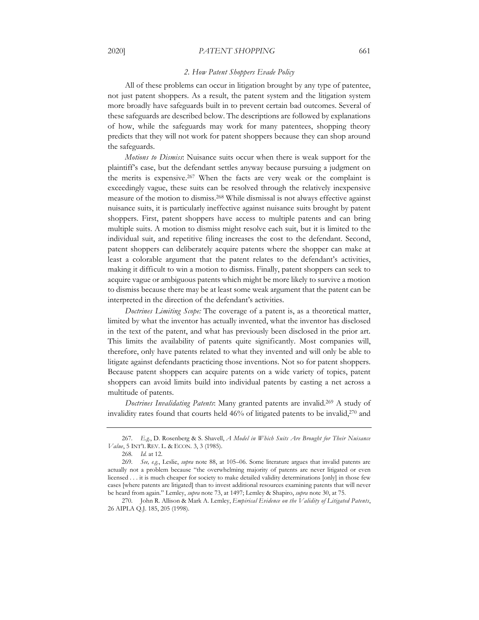#### 2020] *PATENT SHOPPING* 661

#### *2. How Patent Shoppers Evade Policy*

All of these problems can occur in litigation brought by any type of patentee, not just patent shoppers. As a result, the patent system and the litigation system more broadly have safeguards built in to prevent certain bad outcomes. Several of these safeguards are described below. The descriptions are followed by explanations of how, while the safeguards may work for many patentees, shopping theory predicts that they will not work for patent shoppers because they can shop around the safeguards.

*Motions to Dismiss*: Nuisance suits occur when there is weak support for the plaintiff's case, but the defendant settles anyway because pursuing a judgment on the merits is expensive.267 When the facts are very weak or the complaint is exceedingly vague, these suits can be resolved through the relatively inexpensive measure of the motion to dismiss.268 While dismissal is not always effective against nuisance suits, it is particularly ineffective against nuisance suits brought by patent shoppers. First, patent shoppers have access to multiple patents and can bring multiple suits. A motion to dismiss might resolve each suit, but it is limited to the individual suit, and repetitive filing increases the cost to the defendant. Second, patent shoppers can deliberately acquire patents where the shopper can make at least a colorable argument that the patent relates to the defendant's activities, making it difficult to win a motion to dismiss. Finally, patent shoppers can seek to acquire vague or ambiguous patents which might be more likely to survive a motion to dismiss because there may be at least some weak argument that the patent can be interpreted in the direction of the defendant's activities.

*Doctrines Limiting Scope:* The coverage of a patent is, as a theoretical matter, limited by what the inventor has actually invented, what the inventor has disclosed in the text of the patent, and what has previously been disclosed in the prior art. This limits the availability of patents quite significantly. Most companies will, therefore, only have patents related to what they invented and will only be able to litigate against defendants practicing those inventions. Not so for patent shoppers. Because patent shoppers can acquire patents on a wide variety of topics, patent shoppers can avoid limits build into individual patents by casting a net across a multitude of patents.

*Doctrines Invalidating Patents*: Many granted patents are invalid.269 A study of invalidity rates found that courts held 46% of litigated patents to be invalid,270 and

<sup>267</sup>*. E.g.*, D. Rosenberg & S. Shavell, *A Model in Which Suits Are Brought for Their Nuisance Value*, 5 INT'L REV. L. & ECON. 3, 3 (1985).

<sup>268</sup>*. Id.* at 12.

<sup>269</sup>*. See, e.g.*, Leslie, *supra* note 88, at 105–06. Some literature argues that invalid patents are actually not a problem because "the overwhelming majority of patents are never litigated or even licensed . . . it is much cheaper for society to make detailed validity determinations [only] in those few cases [where patents are litigated] than to invest additional resources examining patents that will never be heard from again." Lemley, *supra* note 73, at 1497; Lemley & Shapiro, *supra* note 30, at 75.

<sup>270.</sup> John R. Allison & Mark A. Lemley, *Empirical Evidence on the Validity of Litigated Patents*, 26 AIPLA Q.J. 185, 205 (1998).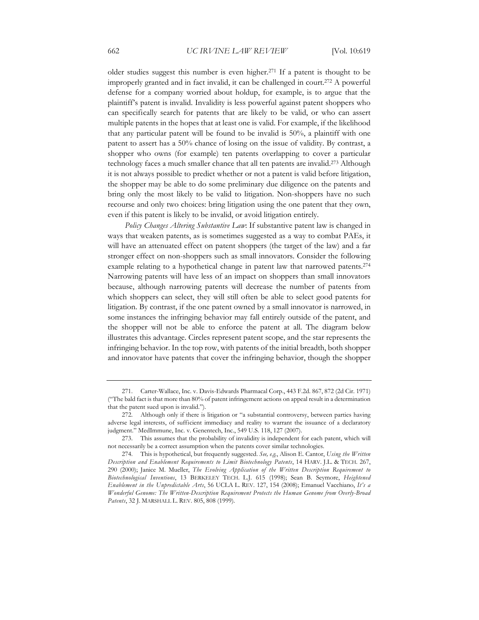older studies suggest this number is even higher.271 If a patent is thought to be improperly granted and in fact invalid, it can be challenged in court.272 A powerful defense for a company worried about holdup, for example, is to argue that the plaintiff's patent is invalid. Invalidity is less powerful against patent shoppers who can specifically search for patents that are likely to be valid, or who can assert multiple patents in the hopes that at least one is valid. For example, if the likelihood that any particular patent will be found to be invalid is 50%, a plaintiff with one patent to assert has a 50% chance of losing on the issue of validity. By contrast, a shopper who owns (for example) ten patents overlapping to cover a particular technology faces a much smaller chance that all ten patents are invalid.273 Although it is not always possible to predict whether or not a patent is valid before litigation, the shopper may be able to do some preliminary due diligence on the patents and bring only the most likely to be valid to litigation. Non-shoppers have no such recourse and only two choices: bring litigation using the one patent that they own, even if this patent is likely to be invalid, or avoid litigation entirely.

*Policy Changes Altering Substantive Law*: If substantive patent law is changed in ways that weaken patents, as is sometimes suggested as a way to combat PAEs, it will have an attenuated effect on patent shoppers (the target of the law) and a far stronger effect on non-shoppers such as small innovators. Consider the following example relating to a hypothetical change in patent law that narrowed patents.274 Narrowing patents will have less of an impact on shoppers than small innovators because, although narrowing patents will decrease the number of patents from which shoppers can select, they will still often be able to select good patents for litigation. By contrast, if the one patent owned by a small innovator is narrowed, in some instances the infringing behavior may fall entirely outside of the patent, and the shopper will not be able to enforce the patent at all. The diagram below illustrates this advantage. Circles represent patent scope, and the star represents the infringing behavior. In the top row, with patents of the initial breadth, both shopper and innovator have patents that cover the infringing behavior, though the shopper

<sup>271.</sup> Carter-Wallace, Inc. v. Davis-Edwards Pharmacal Corp., 443 F.2d. 867, 872 (2d Cir. 1971) ("The bald fact is that more than 80% of patent infringement actions on appeal result in a determination that the patent sued upon is invalid.").

<sup>272.</sup> Although only if there is litigation or "a substantial controversy, between parties having adverse legal interests, of sufficient immediacy and reality to warrant the issuance of a declaratory judgment." MedImmune, Inc. v. Genentech, Inc., 549 U.S. 118, 127 (2007).

<sup>273.</sup> This assumes that the probability of invalidity is independent for each patent, which will not necessarily be a correct assumption when the patents cover similar technologies.

<sup>274.</sup> This is hypothetical, but frequently suggested. *See, e.g.*, Alison E. Cantor, *Using the Written Description and Enablement Requirements to Limit Biotechnology Patents*, 14 HARV. J.L. & TECH. 267, 290 (2000); Janice M. Mueller, *The Evolving Application of the Written Description Requirement to Biotechnological Inventions*, 13 BERKELEY TECH. L.J. 615 (1998); Sean B. Seymore, *Heightened Enablement in the Unpredictable Arts*, 56 UCLA L. REV. 127, 154 (2008); Emanuel Vacchiano, *It's a Wonderful Genome: The Written-Description Requirement Protects the Human Genome from Overly-Broad Patents*, 32 J. MARSHALL L. REV. 805, 808 (1999).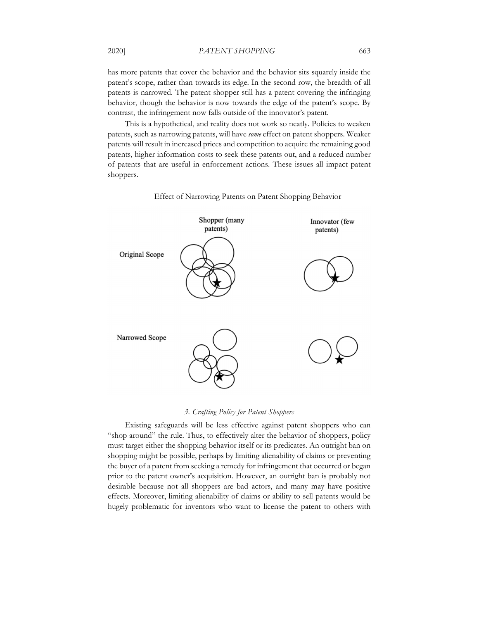#### 2020] *PATENT SHOPPING* 663

has more patents that cover the behavior and the behavior sits squarely inside the patent's scope, rather than towards its edge. In the second row, the breadth of all patents is narrowed. The patent shopper still has a patent covering the infringing behavior, though the behavior is now towards the edge of the patent's scope. By contrast, the infringement now falls outside of the innovator's patent.

This is a hypothetical, and reality does not work so neatly. Policies to weaken patents, such as narrowing patents, will have *some* effect on patent shoppers. Weaker patents will result in increased prices and competition to acquire the remaining good patents, higher information costs to seek these patents out, and a reduced number of patents that are useful in enforcement actions. These issues all impact patent shoppers.



Effect of Narrowing Patents on Patent Shopping Behavior

*3. Crafting Policy for Patent Shoppers* 

Existing safeguards will be less effective against patent shoppers who can "shop around" the rule. Thus, to effectively alter the behavior of shoppers, policy must target either the shopping behavior itself or its predicates. An outright ban on shopping might be possible, perhaps by limiting alienability of claims or preventing the buyer of a patent from seeking a remedy for infringement that occurred or began prior to the patent owner's acquisition. However, an outright ban is probably not desirable because not all shoppers are bad actors, and many may have positive effects. Moreover, limiting alienability of claims or ability to sell patents would be hugely problematic for inventors who want to license the patent to others with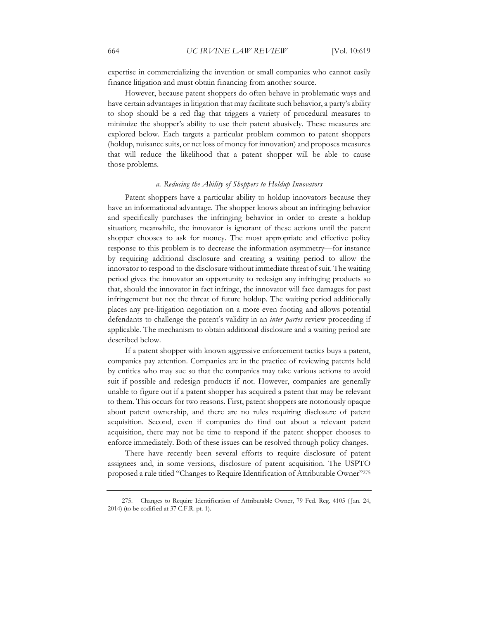expertise in commercializing the invention or small companies who cannot easily finance litigation and must obtain financing from another source.

However, because patent shoppers do often behave in problematic ways and have certain advantages in litigation that may facilitate such behavior, a party's ability to shop should be a red flag that triggers a variety of procedural measures to minimize the shopper's ability to use their patent abusively. These measures are explored below. Each targets a particular problem common to patent shoppers (holdup, nuisance suits, or net loss of money for innovation) and proposes measures that will reduce the likelihood that a patent shopper will be able to cause those problems.

#### *a. Reducing the Ability of Shoppers to Holdup Innovators*

Patent shoppers have a particular ability to holdup innovators because they have an informational advantage. The shopper knows about an infringing behavior and specifically purchases the infringing behavior in order to create a holdup situation; meanwhile, the innovator is ignorant of these actions until the patent shopper chooses to ask for money. The most appropriate and effective policy response to this problem is to decrease the information asymmetry—for instance by requiring additional disclosure and creating a waiting period to allow the innovator to respond to the disclosure without immediate threat of suit. The waiting period gives the innovator an opportunity to redesign any infringing products so that, should the innovator in fact infringe, the innovator will face damages for past infringement but not the threat of future holdup. The waiting period additionally places any pre-litigation negotiation on a more even footing and allows potential defendants to challenge the patent's validity in an *inter partes* review proceeding if applicable. The mechanism to obtain additional disclosure and a waiting period are described below.

If a patent shopper with known aggressive enforcement tactics buys a patent, companies pay attention. Companies are in the practice of reviewing patents held by entities who may sue so that the companies may take various actions to avoid suit if possible and redesign products if not. However, companies are generally unable to figure out if a patent shopper has acquired a patent that may be relevant to them. This occurs for two reasons. First, patent shoppers are notoriously opaque about patent ownership, and there are no rules requiring disclosure of patent acquisition. Second, even if companies do find out about a relevant patent acquisition, there may not be time to respond if the patent shopper chooses to enforce immediately. Both of these issues can be resolved through policy changes.

There have recently been several efforts to require disclosure of patent assignees and, in some versions, disclosure of patent acquisition. The USPTO proposed a rule titled "Changes to Require Identification of Attributable Owner"275

<sup>275.</sup> Changes to Require Identification of Attributable Owner, 79 Fed. Reg. 4105 ( Jan. 24, 2014) (to be codified at 37 C.F.R. pt. 1).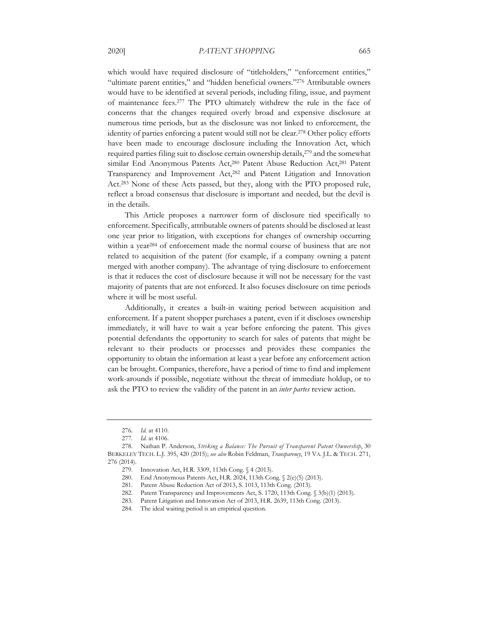which would have required disclosure of "titleholders," "enforcement entities," "ultimate parent entities," and "hidden beneficial owners."276 Attributable owners would have to be identified at several periods, including filing, issue, and payment of maintenance fees.277 The PTO ultimately withdrew the rule in the face of concerns that the changes required overly broad and expensive disclosure at numerous time periods, but as the disclosure was not linked to enforcement, the identity of parties enforcing a patent would still not be clear.278 Other policy efforts have been made to encourage disclosure including the Innovation Act, which required parties filing suit to disclose certain ownership details,279 and the somewhat similar End Anonymous Patents Act,<sup>280</sup> Patent Abuse Reduction Act,<sup>281</sup> Patent Transparency and Improvement Act,282 and Patent Litigation and Innovation Act.283 None of these Acts passed, but they, along with the PTO proposed rule, reflect a broad consensus that disclosure is important and needed, but the devil is in the details.

This Article proposes a narrower form of disclosure tied specifically to enforcement. Specifically, attributable owners of patents should be disclosed at least one year prior to litigation, with exceptions for changes of ownership occurring within a year<sup>284</sup> of enforcement made the normal course of business that are not related to acquisition of the patent (for example, if a company owning a patent merged with another company). The advantage of tying disclosure to enforcement is that it reduces the cost of disclosure because it will not be necessary for the vast majority of patents that are not enforced. It also focuses disclosure on time periods where it will be most useful.

Additionally, it creates a built-in waiting period between acquisition and enforcement. If a patent shopper purchases a patent, even if it discloses ownership immediately, it will have to wait a year before enforcing the patent. This gives potential defendants the opportunity to search for sales of patents that might be relevant to their products or processes and provides these companies the opportunity to obtain the information at least a year before any enforcement action can be brought. Companies, therefore, have a period of time to find and implement work-arounds if possible, negotiate without the threat of immediate holdup, or to ask the PTO to review the validity of the patent in an *inter partes* review action.

<sup>276</sup>*. Id.* at 4110.

<sup>277</sup>*. Id.* at 4106.

<sup>278.</sup> Nathan P. Anderson, *Striking a Balance: The Pursuit of Transparent Patent Ownership*, 30 BERKELEY TECH. L.J. 395, 420 (2015); *see also* Robin Feldman, *Transparency*, 19 VA. J.L. & TECH. 271, 276 (2014).

<sup>279.</sup> Innovation Act, H.R. 3309, 113th Cong. § 4 (2013).

<sup>280.</sup> End Anonymous Patents Act, H.R. 2024, 113th Cong. § 2(e)(5) (2013).

<sup>281.</sup> Patent Abuse Reduction Act of 2013, S. 1013, 113th Cong. (2013).

<sup>282.</sup> Patent Transparency and Improvements Act, S. 1720, 113th Cong. § 3(b)(1) (2013).

<sup>283.</sup> Patent Litigation and Innovation Act of 2013, H.R. 2639, 113th Cong. (2013).

<sup>284.</sup> The ideal waiting period is an empirical question.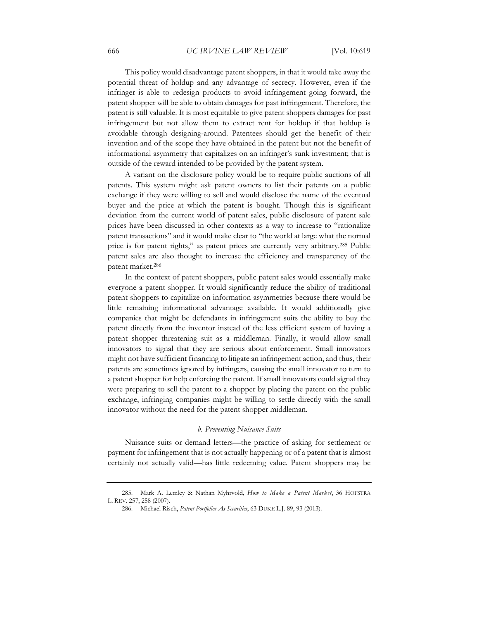This policy would disadvantage patent shoppers, in that it would take away the potential threat of holdup and any advantage of secrecy. However, even if the infringer is able to redesign products to avoid infringement going forward, the patent shopper will be able to obtain damages for past infringement. Therefore, the patent is still valuable. It is most equitable to give patent shoppers damages for past infringement but not allow them to extract rent for holdup if that holdup is avoidable through designing-around. Patentees should get the benefit of their invention and of the scope they have obtained in the patent but not the benefit of informational asymmetry that capitalizes on an infringer's sunk investment; that is outside of the reward intended to be provided by the patent system.

A variant on the disclosure policy would be to require public auctions of all patents. This system might ask patent owners to list their patents on a public exchange if they were willing to sell and would disclose the name of the eventual buyer and the price at which the patent is bought. Though this is significant deviation from the current world of patent sales, public disclosure of patent sale prices have been discussed in other contexts as a way to increase to "rationalize patent transactions" and it would make clear to "the world at large what the normal price is for patent rights," as patent prices are currently very arbitrary.285 Public patent sales are also thought to increase the efficiency and transparency of the patent market.286

In the context of patent shoppers, public patent sales would essentially make everyone a patent shopper. It would significantly reduce the ability of traditional patent shoppers to capitalize on information asymmetries because there would be little remaining informational advantage available. It would additionally give companies that might be defendants in infringement suits the ability to buy the patent directly from the inventor instead of the less efficient system of having a patent shopper threatening suit as a middleman. Finally, it would allow small innovators to signal that they are serious about enforcement. Small innovators might not have sufficient financing to litigate an infringement action, and thus, their patents are sometimes ignored by infringers, causing the small innovator to turn to a patent shopper for help enforcing the patent. If small innovators could signal they were preparing to sell the patent to a shopper by placing the patent on the public exchange, infringing companies might be willing to settle directly with the small innovator without the need for the patent shopper middleman.

#### *b. Preventing Nuisance Suits*

Nuisance suits or demand letters—the practice of asking for settlement or payment for infringement that is not actually happening or of a patent that is almost certainly not actually valid—has little redeeming value. Patent shoppers may be

<sup>285.</sup> Mark A. Lemley & Nathan Myhrvold, *How to Make a Patent Market*, 36 HOFSTRA L. REV. 257, 258 (2007).

<sup>286.</sup> Michael Risch, *Patent Portfolios As Securities*, 63 DUKE L.J. 89, 93 (2013).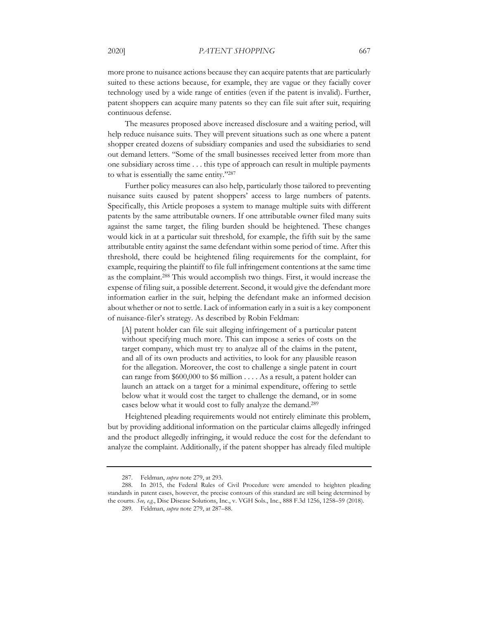more prone to nuisance actions because they can acquire patents that are particularly suited to these actions because, for example, they are vague or they facially cover technology used by a wide range of entities (even if the patent is invalid). Further, patent shoppers can acquire many patents so they can file suit after suit, requiring continuous defense.

The measures proposed above increased disclosure and a waiting period, will help reduce nuisance suits. They will prevent situations such as one where a patent shopper created dozens of subsidiary companies and used the subsidiaries to send out demand letters. "Some of the small businesses received letter from more than one subsidiary across time . . . this type of approach can result in multiple payments to what is essentially the same entity."287

Further policy measures can also help, particularly those tailored to preventing nuisance suits caused by patent shoppers' access to large numbers of patents. Specifically, this Article proposes a system to manage multiple suits with different patents by the same attributable owners. If one attributable owner filed many suits against the same target, the filing burden should be heightened. These changes would kick in at a particular suit threshold, for example, the fifth suit by the same attributable entity against the same defendant within some period of time. After this threshold, there could be heightened filing requirements for the complaint, for example, requiring the plaintiff to file full infringement contentions at the same time as the complaint.288 This would accomplish two things. First, it would increase the expense of filing suit, a possible deterrent. Second, it would give the defendant more information earlier in the suit, helping the defendant make an informed decision about whether or not to settle. Lack of information early in a suit is a key component of nuisance-filer's strategy. As described by Robin Feldman:

[A] patent holder can file suit alleging infringement of a particular patent without specifying much more. This can impose a series of costs on the target company, which must try to analyze all of the claims in the patent, and all of its own products and activities, to look for any plausible reason for the allegation. Moreover, the cost to challenge a single patent in court can range from \$600,000 to \$6 million . . . . As a result, a patent holder can launch an attack on a target for a minimal expenditure, offering to settle below what it would cost the target to challenge the demand, or in some cases below what it would cost to fully analyze the demand.289

Heightened pleading requirements would not entirely eliminate this problem, but by providing additional information on the particular claims allegedly infringed and the product allegedly infringing, it would reduce the cost for the defendant to analyze the complaint. Additionally, if the patent shopper has already filed multiple

<sup>287.</sup> Feldman, *supra* note 279, at 293.

<sup>288.</sup> In 2015, the Federal Rules of Civil Procedure were amended to heighten pleading standards in patent cases, however, the precise contours of this standard are still being determined by the courts. *See, e.g.*, Disc Disease Solutions, Inc., v. VGH Sols., Inc., 888 F.3d 1256, 1258–59 (2018).

<sup>289.</sup> Feldman, *supra* note 279, at 287–88.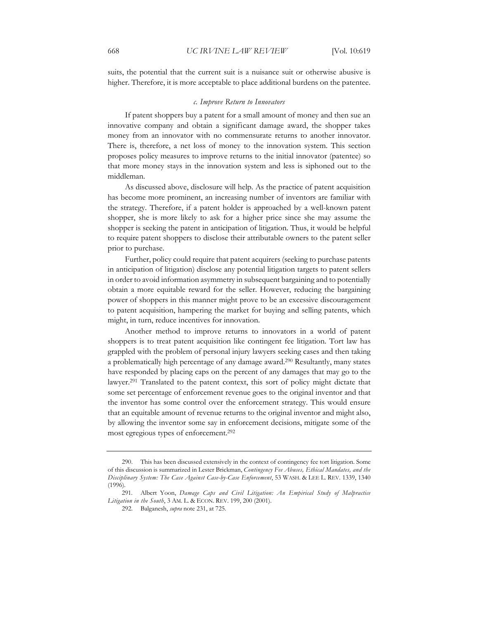suits, the potential that the current suit is a nuisance suit or otherwise abusive is higher. Therefore, it is more acceptable to place additional burdens on the patentee.

#### *c. Improve Return to Innovators*

If patent shoppers buy a patent for a small amount of money and then sue an innovative company and obtain a significant damage award, the shopper takes money from an innovator with no commensurate returns to another innovator. There is, therefore, a net loss of money to the innovation system. This section proposes policy measures to improve returns to the initial innovator (patentee) so that more money stays in the innovation system and less is siphoned out to the middleman.

As discussed above, disclosure will help. As the practice of patent acquisition has become more prominent, an increasing number of inventors are familiar with the strategy. Therefore, if a patent holder is approached by a well-known patent shopper, she is more likely to ask for a higher price since she may assume the shopper is seeking the patent in anticipation of litigation. Thus, it would be helpful to require patent shoppers to disclose their attributable owners to the patent seller prior to purchase.

Further, policy could require that patent acquirers (seeking to purchase patents in anticipation of litigation) disclose any potential litigation targets to patent sellers in order to avoid information asymmetry in subsequent bargaining and to potentially obtain a more equitable reward for the seller. However, reducing the bargaining power of shoppers in this manner might prove to be an excessive discouragement to patent acquisition, hampering the market for buying and selling patents, which might, in turn, reduce incentives for innovation.

Another method to improve returns to innovators in a world of patent shoppers is to treat patent acquisition like contingent fee litigation. Tort law has grappled with the problem of personal injury lawyers seeking cases and then taking a problematically high percentage of any damage award.290 Resultantly, many states have responded by placing caps on the percent of any damages that may go to the lawyer.291 Translated to the patent context, this sort of policy might dictate that some set percentage of enforcement revenue goes to the original inventor and that the inventor has some control over the enforcement strategy. This would ensure that an equitable amount of revenue returns to the original inventor and might also, by allowing the inventor some say in enforcement decisions, mitigate some of the most egregious types of enforcement.292

292. Balganesh, *supra* note 231, at 725.

<sup>290.</sup> This has been discussed extensively in the context of contingency fee tort litigation. Some of this discussion is summarized in Lester Brickman, *Contingency Fee Abuses, Ethical Mandates, and the Disciplinary System: The Case Against Case-by-Case Enforcement*, 53 WASH. & LEE L. REV. 1339, 1340 (1996).

<sup>291.</sup> Albert Yoon, *Damage Caps and Civil Litigation: An Empirical Study of Malpractice Litigation in the South*, 3 AM. L. & ECON. REV. 199, 200 (2001).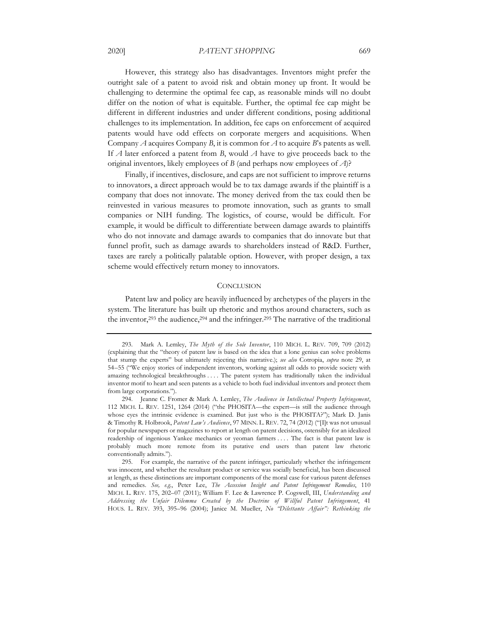#### 2020] *PATENT SHOPPING* 669

However, this strategy also has disadvantages. Inventors might prefer the outright sale of a patent to avoid risk and obtain money up front. It would be challenging to determine the optimal fee cap, as reasonable minds will no doubt differ on the notion of what is equitable. Further, the optimal fee cap might be different in different industries and under different conditions, posing additional challenges to its implementation. In addition, fee caps on enforcement of acquired patents would have odd effects on corporate mergers and acquisitions. When Company *A* acquires Company *B*, it is common for *A* to acquire *B*'s patents as well. If *A* later enforced a patent from *B*, would *A* have to give proceeds back to the original inventors, likely employees of *B* (and perhaps now employees of *A*)?

Finally, if incentives, disclosure, and caps are not sufficient to improve returns to innovators, a direct approach would be to tax damage awards if the plaintiff is a company that does not innovate. The money derived from the tax could then be reinvested in various measures to promote innovation, such as grants to small companies or NIH funding. The logistics, of course, would be difficult. For example, it would be difficult to differentiate between damage awards to plaintiffs who do not innovate and damage awards to companies that do innovate but that funnel profit, such as damage awards to shareholders instead of R&D. Further, taxes are rarely a politically palatable option. However, with proper design, a tax scheme would effectively return money to innovators.

#### **CONCLUSION**

Patent law and policy are heavily influenced by archetypes of the players in the system. The literature has built up rhetoric and mythos around characters, such as the inventor, $293$  the audience, $294$  and the infringer. $295$  The narrative of the traditional

<sup>293.</sup> Mark A. Lemley, *The Myth of the Sole Inventor*, 110 MICH. L. REV. 709, 709 (2012) (explaining that the "theory of patent law is based on the idea that a lone genius can solve problems that stump the experts" but ultimately rejecting this narrative.); *see also* Cotropia, *supra* note 29, at 54–55 ("We enjoy stories of independent inventors, working against all odds to provide society with amazing technological breakthroughs . . . . The patent system has traditionally taken the individual inventor motif to heart and seen patents as a vehicle to both fuel individual inventors and protect them from large corporations.").

<sup>294.</sup> Jeanne C. Fromer & Mark A. Lemley, *The Audience in Intellectual Property Infringement*, 112 MICH. L. REV. 1251, 1264 (2014) ("the PHOSITA—the expert—is still the audience through whose eyes the intrinsic evidence is examined. But just who is the PHOSITA?"); Mark D. Janis & Timothy R. Holbrook, *Patent Law's Audience*, 97 MINN. L. REV. 72, 74 (2012) ("[I]t was not unusual for popular newspapers or magazines to report at length on patent decisions, ostensibly for an idealized readership of ingenious Yankee mechanics or yeoman farmers . . . . The fact is that patent law is probably much more remote from its putative end users than patent law rhetoric conventionally admits.").

<sup>295.</sup> For example, the narrative of the patent infringer, particularly whether the infringement was innocent, and whether the resultant product or service was socially beneficial, has been discussed at length, as these distinctions are important components of the moral case for various patent defenses and remedies. *See, e.g.*, Peter Lee, *The Accession Insight and Patent Infringement Remedies*, 110 MICH. L. REV. 175, 202–07 (2011); William F. Lee & Lawrence P. Cogswell, III, *Understanding and Addressing the Unfair Dilemma Created by the Doctrine of Willful Patent Infringement*, 41 HOUS. L. REV. 393, 395–96 (2004); Janice M. Mueller, *No "Dilettante Affair": Rethinking the*